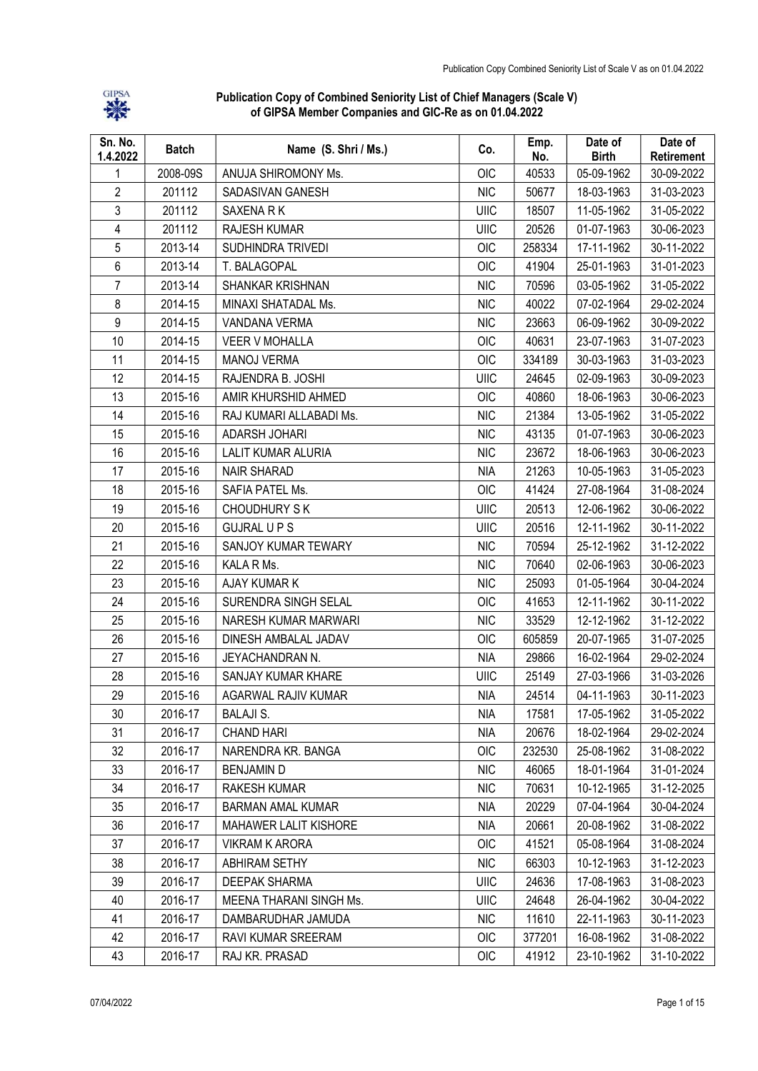

Publication Copy of Combined Seniority List of Chief Managers (Scale V) of GIPSA Member Companies and GIC-Re as on 01.04.2022

| Sn. No.<br>1.4.2022 | <b>Batch</b> | Name (S. Shri / Ms.)     | Co.        | Emp.<br>No. | Date of<br><b>Birth</b> | Date of<br>Retirement |
|---------------------|--------------|--------------------------|------------|-------------|-------------------------|-----------------------|
| 1                   | 2008-09S     | ANUJA SHIROMONY Ms.      | OIC        | 40533       | 05-09-1962              | 30-09-2022            |
| $\overline{2}$      | 201112       | SADASIVAN GANESH         | <b>NIC</b> | 50677       | 18-03-1963              | 31-03-2023            |
| 3                   | 201112       | SAXENA R K               | UIIC       | 18507       | 11-05-1962              | 31-05-2022            |
| 4                   | 201112       | RAJESH KUMAR             | UIIC       | 20526       | 01-07-1963              | 30-06-2023            |
| 5                   | 2013-14      | SUDHINDRA TRIVEDI        | OIC        | 258334      | 17-11-1962              | 30-11-2022            |
| 6                   | 2013-14      | T. BALAGOPAL             | OIC        | 41904       | 25-01-1963              | 31-01-2023            |
| $\overline{7}$      | 2013-14      | SHANKAR KRISHNAN         | <b>NIC</b> | 70596       | 03-05-1962              | 31-05-2022            |
| 8                   | 2014-15      | MINAXI SHATADAL Ms.      | <b>NIC</b> | 40022       | 07-02-1964              | 29-02-2024            |
| 9                   | 2014-15      | VANDANA VERMA            | <b>NIC</b> | 23663       | 06-09-1962              | 30-09-2022            |
| 10                  | 2014-15      | <b>VEER V MOHALLA</b>    | OIC        | 40631       | 23-07-1963              | 31-07-2023            |
| 11                  | 2014-15      | <b>MANOJ VERMA</b>       | <b>OIC</b> | 334189      | 30-03-1963              | 31-03-2023            |
| 12                  | 2014-15      | RAJENDRA B. JOSHI        | UIIC       | 24645       | 02-09-1963              | 30-09-2023            |
| 13                  | 2015-16      | AMIR KHURSHID AHMED      | <b>OIC</b> | 40860       | 18-06-1963              | 30-06-2023            |
| 14                  | 2015-16      | RAJ KUMARI ALLABADI Ms.  | <b>NIC</b> | 21384       | 13-05-1962              | 31-05-2022            |
| 15                  | 2015-16      | ADARSH JOHARI            | <b>NIC</b> | 43135       | 01-07-1963              | 30-06-2023            |
| 16                  | 2015-16      | LALIT KUMAR ALURIA       | <b>NIC</b> | 23672       | 18-06-1963              | 30-06-2023            |
| 17                  | 2015-16      | <b>NAIR SHARAD</b>       | <b>NIA</b> | 21263       | 10-05-1963              | 31-05-2023            |
| 18                  | 2015-16      | SAFIA PATEL Ms.          | <b>OIC</b> | 41424       | 27-08-1964              | 31-08-2024            |
| 19                  | 2015-16      | <b>CHOUDHURY SK</b>      | UIIC       | 20513       | 12-06-1962              | 30-06-2022            |
| 20                  | 2015-16      | <b>GUJRAL U P S</b>      | UIIC       | 20516       | 12-11-1962              | 30-11-2022            |
| 21                  | 2015-16      | SANJOY KUMAR TEWARY      | <b>NIC</b> | 70594       | 25-12-1962              | 31-12-2022            |
| 22                  | 2015-16      | KALA R Ms.               | <b>NIC</b> | 70640       | 02-06-1963              | 30-06-2023            |
| 23                  | 2015-16      | AJAY KUMAR K             | <b>NIC</b> | 25093       | 01-05-1964              | 30-04-2024            |
| 24                  | 2015-16      | SURENDRA SINGH SELAL     | <b>OIC</b> | 41653       | 12-11-1962              | 30-11-2022            |
| 25                  | 2015-16      | NARESH KUMAR MARWARI     | <b>NIC</b> | 33529       | 12-12-1962              | 31-12-2022            |
| 26                  | 2015-16      | DINESH AMBALAL JADAV     | OIC        | 605859      | 20-07-1965              | 31-07-2025            |
| 27                  | 2015-16      | JEYACHANDRAN N.          | <b>NIA</b> | 29866       | 16-02-1964              | 29-02-2024            |
| 28                  | 2015-16      | SANJAY KUMAR KHARE       | UIIC       | 25149       | 27-03-1966              | 31-03-2026            |
| 29                  | 2015-16      | AGARWAL RAJIV KUMAR      | <b>NIA</b> | 24514       | 04-11-1963              | 30-11-2023            |
| 30                  | 2016-17      | <b>BALAJI S.</b>         | <b>NIA</b> | 17581       | 17-05-1962              | 31-05-2022            |
| 31                  | 2016-17      | <b>CHAND HARI</b>        | <b>NIA</b> | 20676       | 18-02-1964              | 29-02-2024            |
| 32                  | 2016-17      | NARENDRA KR. BANGA       | <b>OIC</b> | 232530      | 25-08-1962              | 31-08-2022            |
| 33                  | 2016-17      | <b>BENJAMIND</b>         | <b>NIC</b> | 46065       | 18-01-1964              | 31-01-2024            |
| 34                  | 2016-17      | <b>RAKESH KUMAR</b>      | <b>NIC</b> | 70631       | 10-12-1965              | 31-12-2025            |
| 35                  | 2016-17      | <b>BARMAN AMAL KUMAR</b> | <b>NIA</b> | 20229       | 07-04-1964              | 30-04-2024            |
| 36                  | 2016-17      | MAHAWER LALIT KISHORE    | <b>NIA</b> | 20661       | 20-08-1962              | 31-08-2022            |
| 37                  | 2016-17      | <b>VIKRAM K ARORA</b>    | OIC        | 41521       | 05-08-1964              | 31-08-2024            |
| 38                  | 2016-17      | ABHIRAM SETHY            | <b>NIC</b> | 66303       | 10-12-1963              | 31-12-2023            |
| 39                  | 2016-17      | DEEPAK SHARMA            | UIIC       | 24636       | 17-08-1963              | 31-08-2023            |
| 40                  | 2016-17      | MEENA THARANI SINGH Ms.  | UIIC       | 24648       | 26-04-1962              | 30-04-2022            |
| 41                  | 2016-17      | DAMBARUDHAR JAMUDA       | <b>NIC</b> | 11610       | 22-11-1963              | 30-11-2023            |
| 42                  | 2016-17      | RAVI KUMAR SREERAM       | <b>OIC</b> | 377201      | 16-08-1962              | 31-08-2022            |
| 43                  | 2016-17      | RAJ KR. PRASAD           | OIC        | 41912       | 23-10-1962              | 31-10-2022            |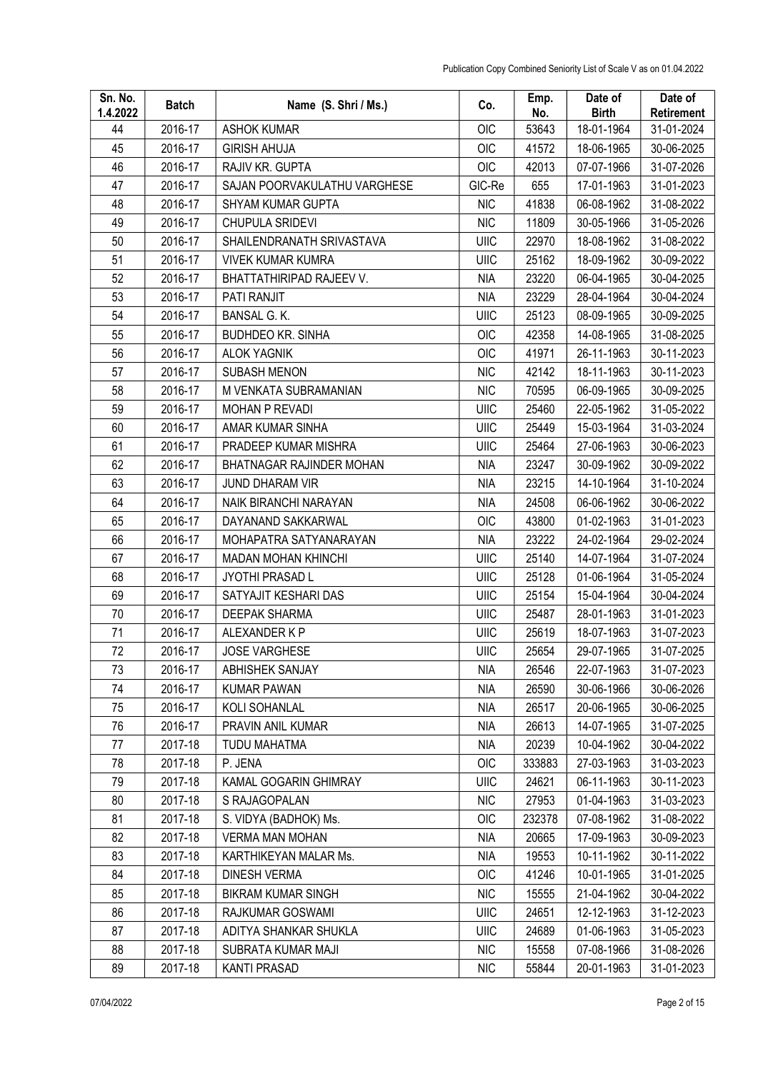| Sn. No.<br>1.4.2022 | <b>Batch</b> | Name (S. Shri / Ms.)         | Co.         | Emp.<br>No. | Date of<br><b>Birth</b> | Date of<br>Retirement |
|---------------------|--------------|------------------------------|-------------|-------------|-------------------------|-----------------------|
| 44                  | 2016-17      | <b>ASHOK KUMAR</b>           | <b>OIC</b>  | 53643       | 18-01-1964              | 31-01-2024            |
| 45                  | 2016-17      | <b>GIRISH AHUJA</b>          | <b>OIC</b>  | 41572       | 18-06-1965              | 30-06-2025            |
| 46                  | 2016-17      | RAJIV KR. GUPTA              | <b>OIC</b>  | 42013       | 07-07-1966              | 31-07-2026            |
| 47                  | 2016-17      | SAJAN POORVAKULATHU VARGHESE | GIC-Re      | 655         | 17-01-1963              | 31-01-2023            |
| 48                  | 2016-17      | <b>SHYAM KUMAR GUPTA</b>     | <b>NIC</b>  | 41838       | 06-08-1962              | 31-08-2022            |
| 49                  | 2016-17      | CHUPULA SRIDEVI              | <b>NIC</b>  | 11809       | 30-05-1966              | 31-05-2026            |
| 50                  | 2016-17      | SHAILENDRANATH SRIVASTAVA    | UIIC        | 22970       | 18-08-1962              | 31-08-2022            |
| 51                  | 2016-17      | <b>VIVEK KUMAR KUMRA</b>     | UIIC        | 25162       | 18-09-1962              | 30-09-2022            |
| 52                  | 2016-17      | BHATTATHIRIPAD RAJEEV V.     | <b>NIA</b>  | 23220       | 06-04-1965              | 30-04-2025            |
| 53                  | 2016-17      | PATI RANJIT                  | <b>NIA</b>  | 23229       | 28-04-1964              | 30-04-2024            |
| 54                  | 2016-17      | <b>BANSAL G. K.</b>          | <b>UIIC</b> | 25123       | 08-09-1965              | 30-09-2025            |
| 55                  | 2016-17      | <b>BUDHDEO KR. SINHA</b>     | OIC         | 42358       | 14-08-1965              | 31-08-2025            |
| 56                  | 2016-17      | <b>ALOK YAGNIK</b>           | OIC         | 41971       | 26-11-1963              | 30-11-2023            |
| 57                  | 2016-17      | <b>SUBASH MENON</b>          | <b>NIC</b>  | 42142       | 18-11-1963              | 30-11-2023            |
| 58                  | 2016-17      | M VENKATA SUBRAMANIAN        | <b>NIC</b>  | 70595       | 06-09-1965              | 30-09-2025            |
| 59                  | 2016-17      | MOHAN P REVADI               | UIIC        | 25460       | 22-05-1962              | 31-05-2022            |
| 60                  | 2016-17      | AMAR KUMAR SINHA             | UIIC        | 25449       | 15-03-1964              | 31-03-2024            |
| 61                  | 2016-17      | PRADEEP KUMAR MISHRA         | UIIC        | 25464       | 27-06-1963              | 30-06-2023            |
| 62                  | 2016-17      | BHATNAGAR RAJINDER MOHAN     | <b>NIA</b>  | 23247       | 30-09-1962              | 30-09-2022            |
| 63                  | 2016-17      | JUND DHARAM VIR              | <b>NIA</b>  | 23215       | 14-10-1964              | 31-10-2024            |
| 64                  | 2016-17      | NAIK BIRANCHI NARAYAN        | <b>NIA</b>  | 24508       | 06-06-1962              | 30-06-2022            |
| 65                  | 2016-17      | DAYANAND SAKKARWAL           | OIC         | 43800       | 01-02-1963              | 31-01-2023            |
| 66                  | 2016-17      | MOHAPATRA SATYANARAYAN       | <b>NIA</b>  | 23222       | 24-02-1964              | 29-02-2024            |
| 67                  | 2016-17      | <b>MADAN MOHAN KHINCHI</b>   | UIIC        | 25140       | 14-07-1964              | 31-07-2024            |
| 68                  | 2016-17      | JYOTHI PRASAD L              | UIIC        | 25128       | 01-06-1964              | 31-05-2024            |
| 69                  | 2016-17      | SATYAJIT KESHARI DAS         | UIIC        | 25154       | 15-04-1964              | 30-04-2024            |
| 70                  | 2016-17      | <b>DEEPAK SHARMA</b>         | UIIC        | 25487       | 28-01-1963              | 31-01-2023            |
| 71                  | 2016-17      | ALEXANDER K P                | UIIC        | 25619       | 18-07-1963              | 31-07-2023            |
| 72                  | 2016-17      | <b>JOSE VARGHESE</b>         | UIIC        | 25654       | 29-07-1965              | 31-07-2025            |
| 73                  | 2016-17      | ABHISHEK SANJAY              | <b>NIA</b>  | 26546       | 22-07-1963              | 31-07-2023            |
| 74                  | 2016-17      | <b>KUMAR PAWAN</b>           | <b>NIA</b>  | 26590       | 30-06-1966              | 30-06-2026            |
| 75                  | 2016-17      | KOLI SOHANLAL                | <b>NIA</b>  | 26517       | 20-06-1965              | 30-06-2025            |
| 76                  | 2016-17      | PRAVIN ANIL KUMAR            | <b>NIA</b>  | 26613       | 14-07-1965              | 31-07-2025            |
| 77                  | 2017-18      | <b>TUDU MAHATMA</b>          | NIA         | 20239       | 10-04-1962              | 30-04-2022            |
| 78                  | 2017-18      | P. JENA                      | OIC         | 333883      | 27-03-1963              | 31-03-2023            |
| 79                  | 2017-18      | KAMAL GOGARIN GHIMRAY        | UIIC        | 24621       | 06-11-1963              | 30-11-2023            |
| 80                  | 2017-18      | S RAJAGOPALAN                | <b>NIC</b>  | 27953       | 01-04-1963              | 31-03-2023            |
| 81                  | 2017-18      | S. VIDYA (BADHOK) Ms.        | <b>OIC</b>  | 232378      | 07-08-1962              | 31-08-2022            |
| 82                  | 2017-18      | <b>VERMA MAN MOHAN</b>       | NIA         | 20665       | 17-09-1963              | 30-09-2023            |
| 83                  | 2017-18      | KARTHIKEYAN MALAR Ms.        | <b>NIA</b>  | 19553       | 10-11-1962              | 30-11-2022            |
| 84                  | 2017-18      | <b>DINESH VERMA</b>          | OIC         | 41246       | 10-01-1965              | 31-01-2025            |
| 85                  | 2017-18      | <b>BIKRAM KUMAR SINGH</b>    | <b>NIC</b>  | 15555       | 21-04-1962              | 30-04-2022            |
| 86                  | 2017-18      | RAJKUMAR GOSWAMI             | UIIC        | 24651       | 12-12-1963              | 31-12-2023            |
| 87                  | 2017-18      | ADITYA SHANKAR SHUKLA        | UIIC        | 24689       | 01-06-1963              | 31-05-2023            |
| 88                  | 2017-18      | SUBRATA KUMAR MAJI           | <b>NIC</b>  | 15558       | 07-08-1966              | 31-08-2026            |
| 89                  | 2017-18      | <b>KANTI PRASAD</b>          | <b>NIC</b>  | 55844       | 20-01-1963              | 31-01-2023            |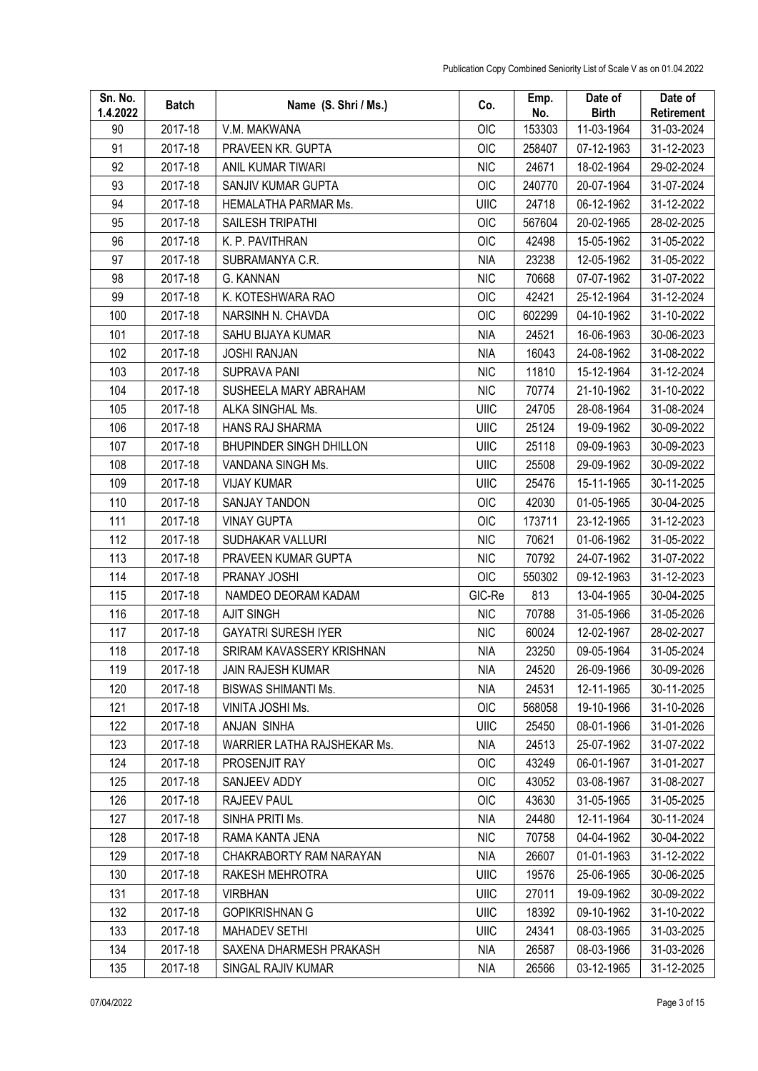| Sn. No.<br>1.4.2022 | <b>Batch</b> | Name (S. Shri / Ms.)           | Co.        | Emp.<br>No. | Date of<br><b>Birth</b> | Date of<br>Retirement |
|---------------------|--------------|--------------------------------|------------|-------------|-------------------------|-----------------------|
| 90                  | 2017-18      | V.M. MAKWANA                   | OIC        | 153303      | 11-03-1964              | 31-03-2024            |
| 91                  | 2017-18      | PRAVEEN KR. GUPTA              | OIC        | 258407      | 07-12-1963              | 31-12-2023            |
| 92                  | 2017-18      | ANIL KUMAR TIWARI              | <b>NIC</b> | 24671       | 18-02-1964              | 29-02-2024            |
| 93                  | 2017-18      | SANJIV KUMAR GUPTA             | <b>OIC</b> | 240770      | 20-07-1964              | 31-07-2024            |
| 94                  | 2017-18      | HEMALATHA PARMAR Ms.           | UIIC       | 24718       | 06-12-1962              | 31-12-2022            |
| 95                  | 2017-18      | SAILESH TRIPATHI               | OIC        | 567604      | 20-02-1965              | 28-02-2025            |
| 96                  | 2017-18      | K. P. PAVITHRAN                | OIC        | 42498       | 15-05-1962              | 31-05-2022            |
| 97                  | 2017-18      | SUBRAMANYA C.R.                | <b>NIA</b> | 23238       | 12-05-1962              | 31-05-2022            |
| 98                  | 2017-18      | G. KANNAN                      | <b>NIC</b> | 70668       | 07-07-1962              | 31-07-2022            |
| 99                  | 2017-18      | K. KOTESHWARA RAO              | <b>OIC</b> | 42421       | 25-12-1964              | 31-12-2024            |
| 100                 | 2017-18      | NARSINH N. CHAVDA              | OIC        | 602299      | 04-10-1962              | 31-10-2022            |
| 101                 | 2017-18      | SAHU BIJAYA KUMAR              | <b>NIA</b> | 24521       | 16-06-1963              | 30-06-2023            |
| 102                 | 2017-18      | <b>JOSHI RANJAN</b>            | <b>NIA</b> | 16043       | 24-08-1962              | 31-08-2022            |
| 103                 | 2017-18      | <b>SUPRAVA PANI</b>            | <b>NIC</b> | 11810       | 15-12-1964              | 31-12-2024            |
| 104                 | 2017-18      | SUSHEELA MARY ABRAHAM          | <b>NIC</b> | 70774       | 21-10-1962              | 31-10-2022            |
| 105                 | 2017-18      | ALKA SINGHAL Ms.               | UIIC       | 24705       | 28-08-1964              | 31-08-2024            |
| 106                 | 2017-18      | HANS RAJ SHARMA                | UIIC       | 25124       | 19-09-1962              | 30-09-2022            |
| 107                 | 2017-18      | <b>BHUPINDER SINGH DHILLON</b> | UIIC       | 25118       | 09-09-1963              | 30-09-2023            |
| 108                 | 2017-18      | VANDANA SINGH Ms.              | UIIC       | 25508       | 29-09-1962              | 30-09-2022            |
| 109                 | 2017-18      | <b>VIJAY KUMAR</b>             | UIIC       | 25476       | 15-11-1965              | 30-11-2025            |
| 110                 | 2017-18      | SANJAY TANDON                  | <b>OIC</b> | 42030       | 01-05-1965              | 30-04-2025            |
| 111                 | 2017-18      | <b>VINAY GUPTA</b>             | <b>OIC</b> | 173711      | 23-12-1965              | 31-12-2023            |
| 112                 | 2017-18      | SUDHAKAR VALLURI               | <b>NIC</b> | 70621       | 01-06-1962              | 31-05-2022            |
| 113                 | 2017-18      | PRAVEEN KUMAR GUPTA            | <b>NIC</b> | 70792       | 24-07-1962              | 31-07-2022            |
| 114                 | 2017-18      | PRANAY JOSHI                   | <b>OIC</b> | 550302      | 09-12-1963              | 31-12-2023            |
| 115                 | 2017-18      | NAMDEO DEORAM KADAM            | GIC-Re     | 813         | 13-04-1965              | 30-04-2025            |
| 116                 | 2017-18      | <b>AJIT SINGH</b>              | <b>NIC</b> | 70788       | 31-05-1966              | 31-05-2026            |
| 117                 | 2017-18      | <b>GAYATRI SURESH IYER</b>     | <b>NIC</b> | 60024       | 12-02-1967              | 28-02-2027            |
| 118                 | 2017-18      | SRIRAM KAVASSERY KRISHNAN      | <b>NIA</b> | 23250       | 09-05-1964              | 31-05-2024            |
| 119                 | 2017-18      | <b>JAIN RAJESH KUMAR</b>       | NIA        | 24520       | 26-09-1966              | 30-09-2026            |
| 120                 | 2017-18      | <b>BISWAS SHIMANTI Ms.</b>     | <b>NIA</b> | 24531       | 12-11-1965              | 30-11-2025            |
| 121                 | 2017-18      | VINITA JOSHI Ms.               | OIC        | 568058      | 19-10-1966              | 31-10-2026            |
| 122                 | 2017-18      | ANJAN SINHA                    | UIIC       | 25450       | 08-01-1966              | 31-01-2026            |
| 123                 | 2017-18      | WARRIER LATHA RAJSHEKAR Ms.    | NIA        | 24513       | 25-07-1962              | 31-07-2022            |
| 124                 | 2017-18      | PROSENJIT RAY                  | OIC        | 43249       | 06-01-1967              | 31-01-2027            |
| 125                 | 2017-18      | SANJEEV ADDY                   | OIC        | 43052       | 03-08-1967              | 31-08-2027            |
| 126                 | 2017-18      | RAJEEV PAUL                    | <b>OIC</b> | 43630       | 31-05-1965              | 31-05-2025            |
| 127                 | 2017-18      | SINHA PRITI Ms.                | <b>NIA</b> | 24480       | 12-11-1964              | 30-11-2024            |
| 128                 | 2017-18      | RAMA KANTA JENA                | <b>NIC</b> | 70758       | 04-04-1962              | 30-04-2022            |
| 129                 | 2017-18      | CHAKRABORTY RAM NARAYAN        | <b>NIA</b> | 26607       | 01-01-1963              | 31-12-2022            |
| 130                 | 2017-18      | RAKESH MEHROTRA                | UIIC       | 19576       | 25-06-1965              | 30-06-2025            |
| 131                 | 2017-18      | <b>VIRBHAN</b>                 | UIIC       | 27011       | 19-09-1962              | 30-09-2022            |
| 132                 | 2017-18      | <b>GOPIKRISHNAN G</b>          | UIIC       | 18392       | 09-10-1962              | 31-10-2022            |
| 133                 | 2017-18      | <b>MAHADEV SETHI</b>           | UIIC       | 24341       | 08-03-1965              | 31-03-2025            |
| 134                 | 2017-18      | SAXENA DHARMESH PRAKASH        | <b>NIA</b> | 26587       | 08-03-1966              | 31-03-2026            |
| 135                 | 2017-18      | SINGAL RAJIV KUMAR             | <b>NIA</b> | 26566       | 03-12-1965              | 31-12-2025            |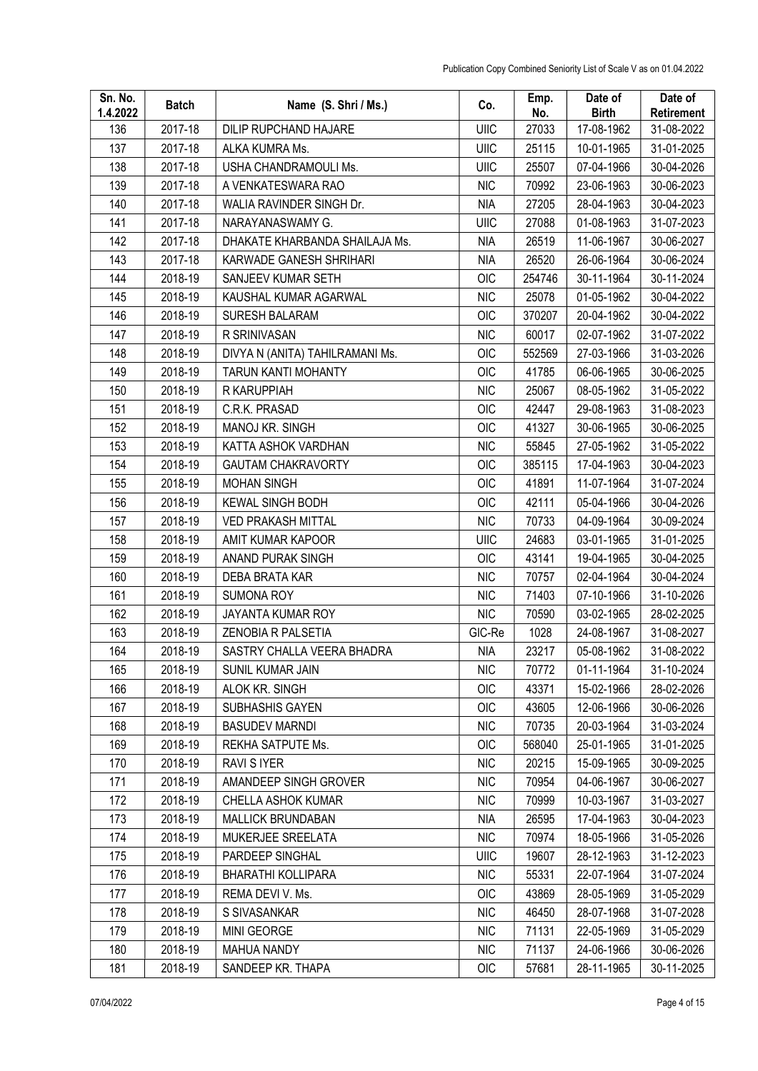| Sn. No.<br>1.4.2022 | <b>Batch</b> | Name (S. Shri / Ms.)            | Co.         | Emp.<br>No. | Date of<br><b>Birth</b> | Date of<br>Retirement |
|---------------------|--------------|---------------------------------|-------------|-------------|-------------------------|-----------------------|
| 136                 | 2017-18      | DILIP RUPCHAND HAJARE           | UIIC        | 27033       | 17-08-1962              | 31-08-2022            |
| 137                 | 2017-18      | ALKA KUMRA Ms.                  | UIIC        | 25115       | 10-01-1965              | 31-01-2025            |
| 138                 | 2017-18      | USHA CHANDRAMOULI Ms.           | UIIC        | 25507       | 07-04-1966              | 30-04-2026            |
| 139                 | 2017-18      | A VENKATESWARA RAO              | <b>NIC</b>  | 70992       | 23-06-1963              | 30-06-2023            |
| 140                 | 2017-18      | WALIA RAVINDER SINGH Dr.        | <b>NIA</b>  | 27205       | 28-04-1963              | 30-04-2023            |
| 141                 | 2017-18      | NARAYANASWAMY G.                | UIIC        | 27088       | 01-08-1963              | 31-07-2023            |
| 142                 | 2017-18      | DHAKATE KHARBANDA SHAILAJA Ms.  | <b>NIA</b>  | 26519       | 11-06-1967              | 30-06-2027            |
| 143                 | 2017-18      | KARWADE GANESH SHRIHARI         | <b>NIA</b>  | 26520       | 26-06-1964              | 30-06-2024            |
| 144                 | 2018-19      | SANJEEV KUMAR SETH              | OIC         | 254746      | 30-11-1964              | 30-11-2024            |
| 145                 | 2018-19      | KAUSHAL KUMAR AGARWAL           | <b>NIC</b>  | 25078       | 01-05-1962              | 30-04-2022            |
| 146                 | 2018-19      | <b>SURESH BALARAM</b>           | OIC         | 370207      | 20-04-1962              | 30-04-2022            |
| 147                 | 2018-19      | R SRINIVASAN                    | <b>NIC</b>  | 60017       | 02-07-1962              | 31-07-2022            |
| 148                 | 2018-19      | DIVYA N (ANITA) TAHILRAMANI Ms. | <b>OIC</b>  | 552569      | 27-03-1966              | 31-03-2026            |
| 149                 | 2018-19      | TARUN KANTI MOHANTY             | OIC         | 41785       | 06-06-1965              | 30-06-2025            |
| 150                 | 2018-19      | R KARUPPIAH                     | <b>NIC</b>  | 25067       | 08-05-1962              | 31-05-2022            |
| 151                 | 2018-19      | C.R.K. PRASAD                   | OIC         | 42447       | 29-08-1963              | 31-08-2023            |
| 152                 | 2018-19      | MANOJ KR. SINGH                 | OIC         | 41327       | 30-06-1965              | 30-06-2025            |
| 153                 | 2018-19      | KATTA ASHOK VARDHAN             | <b>NIC</b>  | 55845       | 27-05-1962              | 31-05-2022            |
| 154                 | 2018-19      | <b>GAUTAM CHAKRAVORTY</b>       | <b>OIC</b>  | 385115      | 17-04-1963              | 30-04-2023            |
| 155                 | 2018-19      | <b>MOHAN SINGH</b>              | OIC         | 41891       | 11-07-1964              | 31-07-2024            |
| 156                 | 2018-19      | <b>KEWAL SINGH BODH</b>         | OIC         | 42111       | 05-04-1966              | 30-04-2026            |
| 157                 | 2018-19      | <b>VED PRAKASH MITTAL</b>       | <b>NIC</b>  | 70733       | 04-09-1964              | 30-09-2024            |
| 158                 | 2018-19      | AMIT KUMAR KAPOOR               | UIIC        | 24683       | 03-01-1965              | 31-01-2025            |
| 159                 | 2018-19      | ANAND PURAK SINGH               | OIC         | 43141       | 19-04-1965              | 30-04-2025            |
| 160                 | 2018-19      | DEBA BRATA KAR                  | <b>NIC</b>  | 70757       | 02-04-1964              | 30-04-2024            |
| 161                 | 2018-19      | <b>SUMONA ROY</b>               | <b>NIC</b>  | 71403       | 07-10-1966              | 31-10-2026            |
| 162                 | 2018-19      | JAYANTA KUMAR ROY               | <b>NIC</b>  | 70590       | 03-02-1965              | 28-02-2025            |
| 163                 | 2018-19      | ZENOBIA R PALSETIA              | GIC-Re      | 1028        | 24-08-1967              | 31-08-2027            |
| 164                 | 2018-19      | SASTRY CHALLA VEERA BHADRA      | <b>NIA</b>  | 23217       | 05-08-1962              | 31-08-2022            |
| 165                 | 2018-19      | SUNIL KUMAR JAIN                | <b>NIC</b>  | 70772       | 01-11-1964              | 31-10-2024            |
| 166                 | 2018-19      | ALOK KR. SINGH                  | OIC         | 43371       | 15-02-1966              | 28-02-2026            |
| 167                 | 2018-19      | SUBHASHIS GAYEN                 | OIC         | 43605       | 12-06-1966              | 30-06-2026            |
| 168                 | 2018-19      | <b>BASUDEV MARNDI</b>           | <b>NIC</b>  | 70735       | 20-03-1964              | 31-03-2024            |
| 169                 | 2018-19      | REKHA SATPUTE Ms.               | OIC         | 568040      | 25-01-1965              | 31-01-2025            |
| 170                 | 2018-19      | RAVI S IYER                     | <b>NIC</b>  | 20215       | 15-09-1965              | 30-09-2025            |
| 171                 | 2018-19      | AMANDEEP SINGH GROVER           | <b>NIC</b>  | 70954       | 04-06-1967              | 30-06-2027            |
| 172                 | 2018-19      | CHELLA ASHOK KUMAR              | <b>NIC</b>  | 70999       | 10-03-1967              | 31-03-2027            |
| 173                 | 2018-19      | <b>MALLICK BRUNDABAN</b>        | <b>NIA</b>  | 26595       | 17-04-1963              | 30-04-2023            |
| 174                 | 2018-19      | MUKERJEE SREELATA               | <b>NIC</b>  | 70974       | 18-05-1966              | 31-05-2026            |
| 175                 | 2018-19      | PARDEEP SINGHAL                 | <b>UIIC</b> | 19607       | 28-12-1963              | 31-12-2023            |
| 176                 | 2018-19      | <b>BHARATHI KOLLIPARA</b>       | <b>NIC</b>  | 55331       | 22-07-1964              | 31-07-2024            |
| 177                 | 2018-19      | REMA DEVI V. Ms.                | OIC         | 43869       | 28-05-1969              | 31-05-2029            |
| 178                 | 2018-19      | S SIVASANKAR                    | <b>NIC</b>  | 46450       | 28-07-1968              | 31-07-2028            |
| 179                 | 2018-19      | MINI GEORGE                     | <b>NIC</b>  | 71131       | 22-05-1969              | 31-05-2029            |
| 180                 | 2018-19      | <b>MAHUA NANDY</b>              | <b>NIC</b>  | 71137       | 24-06-1966              | 30-06-2026            |
| 181                 | 2018-19      | SANDEEP KR. THAPA               | <b>OIC</b>  | 57681       | 28-11-1965              | 30-11-2025            |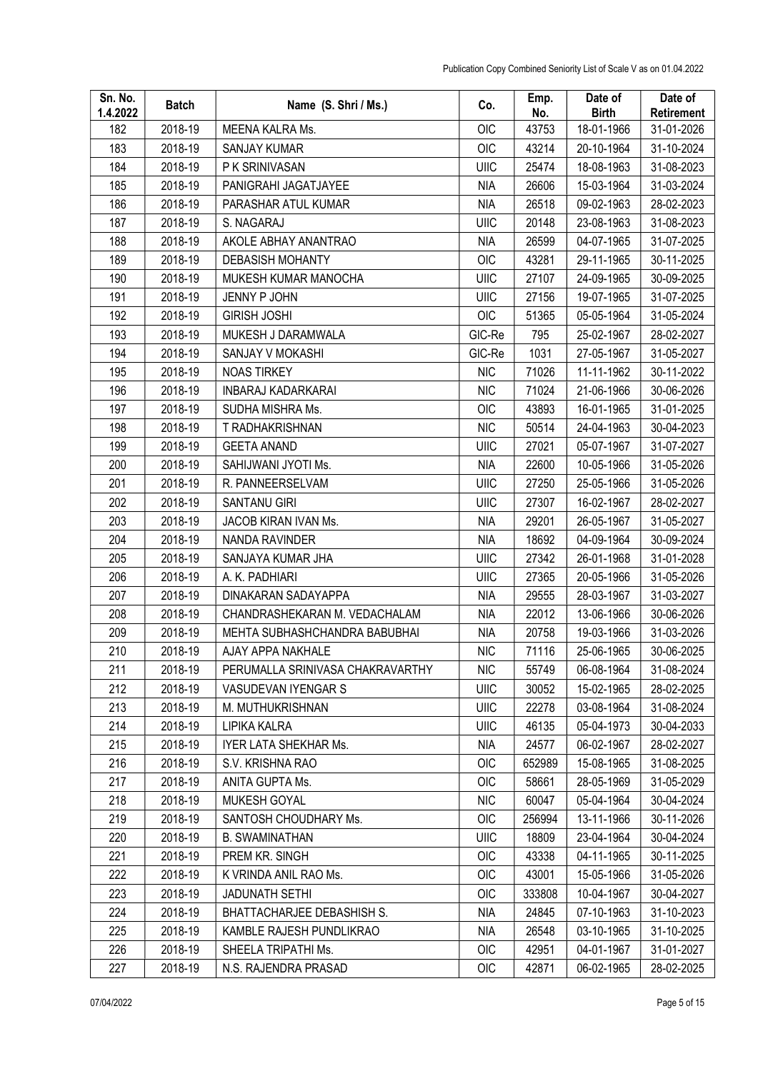| Sn. No.<br>1.4.2022 | <b>Batch</b> | Name (S. Shri / Ms.)             | Co.         | Emp.<br>No. | Date of<br><b>Birth</b> | Date of<br>Retirement |
|---------------------|--------------|----------------------------------|-------------|-------------|-------------------------|-----------------------|
| 182                 | 2018-19      | MEENA KALRA Ms.                  | <b>OIC</b>  | 43753       | 18-01-1966              | 31-01-2026            |
| 183                 | 2018-19      | <b>SANJAY KUMAR</b>              | OIC         | 43214       | 20-10-1964              | 31-10-2024            |
| 184                 | 2018-19      | P K SRINIVASAN                   | UIIC        | 25474       | 18-08-1963              | 31-08-2023            |
| 185                 | 2018-19      | PANIGRAHI JAGATJAYEE             | <b>NIA</b>  | 26606       | 15-03-1964              | 31-03-2024            |
| 186                 | 2018-19      | PARASHAR ATUL KUMAR              | <b>NIA</b>  | 26518       | 09-02-1963              | 28-02-2023            |
| 187                 | 2018-19      | S. NAGARAJ                       | UIIC        | 20148       | 23-08-1963              | 31-08-2023            |
| 188                 | 2018-19      | AKOLE ABHAY ANANTRAO             | <b>NIA</b>  | 26599       | 04-07-1965              | 31-07-2025            |
| 189                 | 2018-19      | <b>DEBASISH MOHANTY</b>          | <b>OIC</b>  | 43281       | 29-11-1965              | 30-11-2025            |
| 190                 | 2018-19      | MUKESH KUMAR MANOCHA             | <b>UIIC</b> | 27107       | 24-09-1965              | 30-09-2025            |
| 191                 | 2018-19      | JENNY P JOHN                     | UIIC        | 27156       | 19-07-1965              | 31-07-2025            |
| 192                 | 2018-19      | <b>GIRISH JOSHI</b>              | OIC         | 51365       | 05-05-1964              | 31-05-2024            |
| 193                 | 2018-19      | MUKESH J DARAMWALA               | GIC-Re      | 795         | 25-02-1967              | 28-02-2027            |
| 194                 | 2018-19      | SANJAY V MOKASHI                 | GIC-Re      | 1031        | 27-05-1967              | 31-05-2027            |
| 195                 | 2018-19      | <b>NOAS TIRKEY</b>               | <b>NIC</b>  | 71026       | 11-11-1962              | 30-11-2022            |
| 196                 | 2018-19      | <b>INBARAJ KADARKARAI</b>        | <b>NIC</b>  | 71024       | 21-06-1966              | 30-06-2026            |
| 197                 | 2018-19      | SUDHA MISHRA Ms.                 | OIC         | 43893       | 16-01-1965              | 31-01-2025            |
| 198                 | 2018-19      | T RADHAKRISHNAN                  | <b>NIC</b>  | 50514       | 24-04-1963              | 30-04-2023            |
| 199                 | 2018-19      | <b>GEETA ANAND</b>               | UIIC        | 27021       | 05-07-1967              | 31-07-2027            |
| 200                 | 2018-19      | SAHIJWANI JYOTI Ms.              | <b>NIA</b>  | 22600       | 10-05-1966              | 31-05-2026            |
| 201                 | 2018-19      | R. PANNEERSELVAM                 | UIIC        | 27250       | 25-05-1966              | 31-05-2026            |
| 202                 | 2018-19      | <b>SANTANU GIRI</b>              | <b>UIIC</b> | 27307       | 16-02-1967              | 28-02-2027            |
| 203                 | 2018-19      | JACOB KIRAN IVAN Ms.             | <b>NIA</b>  | 29201       | 26-05-1967              | 31-05-2027            |
| 204                 | 2018-19      | NANDA RAVINDER                   | <b>NIA</b>  | 18692       | 04-09-1964              | 30-09-2024            |
| 205                 | 2018-19      | SANJAYA KUMAR JHA                | UIIC        | 27342       | 26-01-1968              | 31-01-2028            |
| 206                 | 2018-19      | A. K. PADHIARI                   | UIIC        | 27365       | 20-05-1966              | 31-05-2026            |
| 207                 | 2018-19      | DINAKARAN SADAYAPPA              | <b>NIA</b>  | 29555       | 28-03-1967              | 31-03-2027            |
| 208                 | 2018-19      | CHANDRASHEKARAN M. VEDACHALAM    | <b>NIA</b>  | 22012       | 13-06-1966              | 30-06-2026            |
| 209                 | 2018-19      | MEHTA SUBHASHCHANDRA BABUBHAI    | <b>NIA</b>  | 20758       | 19-03-1966              | 31-03-2026            |
| 210                 | 2018-19      | AJAY APPA NAKHALE                | <b>NIC</b>  | 71116       | 25-06-1965              | 30-06-2025            |
| 211                 | 2018-19      | PERUMALLA SRINIVASA CHAKRAVARTHY | <b>NIC</b>  | 55749       | 06-08-1964              | 31-08-2024            |
| 212                 | 2018-19      | VASUDEVAN IYENGAR S              | UIIC        | 30052       | 15-02-1965              | 28-02-2025            |
| 213                 | 2018-19      | M. MUTHUKRISHNAN                 | UIIC        | 22278       | 03-08-1964              | 31-08-2024            |
| 214                 | 2018-19      | LIPIKA KALRA                     | UIIC        | 46135       | 05-04-1973              | 30-04-2033            |
| 215                 | 2018-19      | IYER LATA SHEKHAR Ms.            | <b>NIA</b>  | 24577       | 06-02-1967              | 28-02-2027            |
| 216                 | 2018-19      | S.V. KRISHNA RAO                 | OIC         | 652989      | 15-08-1965              | 31-08-2025            |
| 217                 | 2018-19      | ANITA GUPTA Ms.                  | OIC         | 58661       | 28-05-1969              | 31-05-2029            |
| 218                 | 2018-19      | MUKESH GOYAL                     | <b>NIC</b>  | 60047       | 05-04-1964              | 30-04-2024            |
| 219                 | 2018-19      | SANTOSH CHOUDHARY Ms.            | <b>OIC</b>  | 256994      | 13-11-1966              | 30-11-2026            |
| 220                 | 2018-19      | <b>B. SWAMINATHAN</b>            | UIIC        | 18809       | 23-04-1964              | 30-04-2024            |
| 221                 | 2018-19      | PREM KR. SINGH                   | OIC         | 43338       | 04-11-1965              | 30-11-2025            |
| 222                 | 2018-19      | K VRINDA ANIL RAO Ms.            | OIC         | 43001       | 15-05-1966              | 31-05-2026            |
| 223                 | 2018-19      | <b>JADUNATH SETHI</b>            | OIC         | 333808      | 10-04-1967              | 30-04-2027            |
| 224                 | 2018-19      | BHATTACHARJEE DEBASHISH S.       | <b>NIA</b>  | 24845       | 07-10-1963              | 31-10-2023            |
| 225                 | 2018-19      | KAMBLE RAJESH PUNDLIKRAO         | NIA         | 26548       | 03-10-1965              | 31-10-2025            |
| 226                 | 2018-19      | SHEELA TRIPATHI Ms.              | OIC         | 42951       | 04-01-1967              | 31-01-2027            |
| 227                 | 2018-19      | N.S. RAJENDRA PRASAD             | <b>OIC</b>  | 42871       | 06-02-1965              | 28-02-2025            |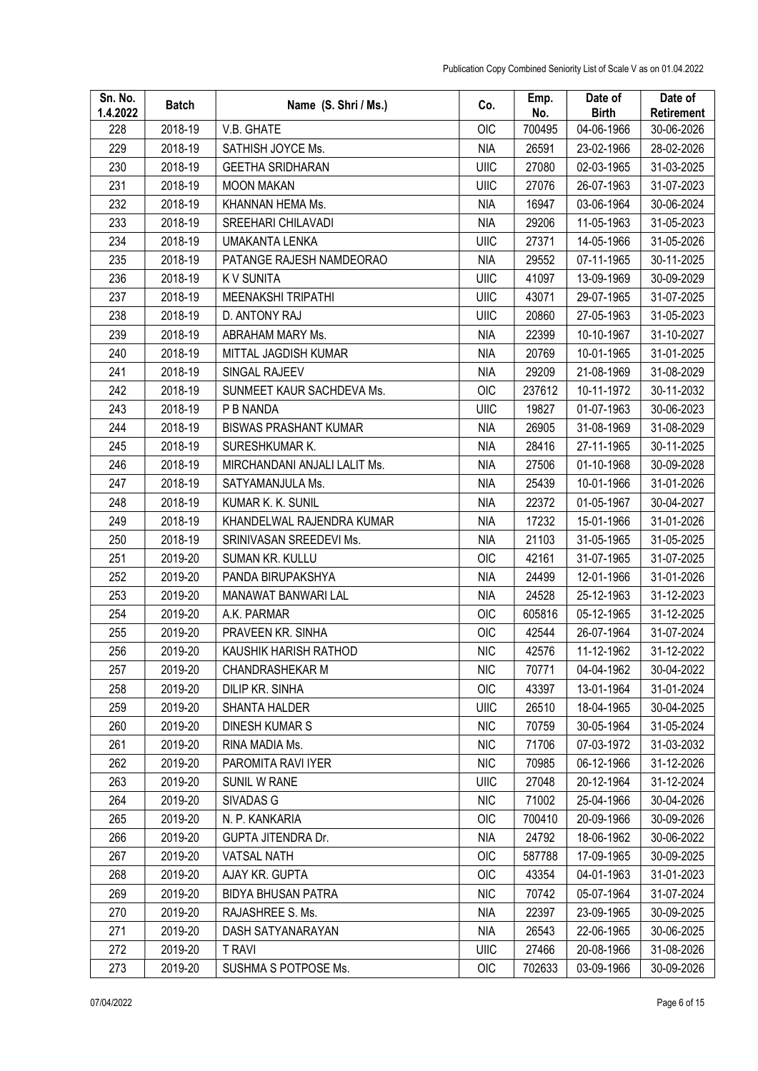| Sn. No.<br>1.4.2022 | <b>Batch</b> | Name (S. Shri / Ms.)         | Co.         | Emp.<br>No. | Date of<br><b>Birth</b> | Date of<br>Retirement |
|---------------------|--------------|------------------------------|-------------|-------------|-------------------------|-----------------------|
| 228                 | 2018-19      | V.B. GHATE                   | <b>OIC</b>  | 700495      | 04-06-1966              | 30-06-2026            |
| 229                 | 2018-19      | SATHISH JOYCE Ms.            | <b>NIA</b>  | 26591       | 23-02-1966              | 28-02-2026            |
| 230                 | 2018-19      | <b>GEETHA SRIDHARAN</b>      | <b>UIIC</b> | 27080       | 02-03-1965              | 31-03-2025            |
| 231                 | 2018-19      | <b>MOON MAKAN</b>            | <b>UIIC</b> | 27076       | 26-07-1963              | 31-07-2023            |
| 232                 | 2018-19      | KHANNAN HEMA Ms.             | <b>NIA</b>  | 16947       | 03-06-1964              | 30-06-2024            |
| 233                 | 2018-19      | SREEHARI CHILAVADI           | <b>NIA</b>  | 29206       | 11-05-1963              | 31-05-2023            |
| 234                 | 2018-19      | UMAKANTA LENKA               | UIIC        | 27371       | 14-05-1966              | 31-05-2026            |
| 235                 | 2018-19      | PATANGE RAJESH NAMDEORAO     | NIA         | 29552       | 07-11-1965              | 30-11-2025            |
| 236                 | 2018-19      | <b>KV SUNITA</b>             | UIIC        | 41097       | 13-09-1969              | 30-09-2029            |
| 237                 | 2018-19      | <b>MEENAKSHI TRIPATHI</b>    | UIIC        | 43071       | 29-07-1965              | 31-07-2025            |
| 238                 | 2018-19      | D. ANTONY RAJ                | <b>UIIC</b> | 20860       | 27-05-1963              | 31-05-2023            |
| 239                 | 2018-19      | ABRAHAM MARY Ms.             | <b>NIA</b>  | 22399       | 10-10-1967              | 31-10-2027            |
| 240                 | 2018-19      | MITTAL JAGDISH KUMAR         | <b>NIA</b>  | 20769       | 10-01-1965              | 31-01-2025            |
| 241                 | 2018-19      | SINGAL RAJEEV                | <b>NIA</b>  | 29209       | 21-08-1969              | 31-08-2029            |
| 242                 | 2018-19      | SUNMEET KAUR SACHDEVA Ms.    | OIC         | 237612      | 10-11-1972              | 30-11-2032            |
| 243                 | 2018-19      | P B NANDA                    | UIIC        | 19827       | 01-07-1963              | 30-06-2023            |
| 244                 | 2018-19      | <b>BISWAS PRASHANT KUMAR</b> | <b>NIA</b>  | 26905       | 31-08-1969              | 31-08-2029            |
| 245                 | 2018-19      | SURESHKUMAR K.               | <b>NIA</b>  | 28416       | 27-11-1965              | 30-11-2025            |
| 246                 | 2018-19      | MIRCHANDANI ANJALI LALIT Ms. | <b>NIA</b>  | 27506       | 01-10-1968              | 30-09-2028            |
| 247                 | 2018-19      | SATYAMANJULA Ms.             | <b>NIA</b>  | 25439       | 10-01-1966              | 31-01-2026            |
| 248                 | 2018-19      | KUMAR K. K. SUNIL            | <b>NIA</b>  | 22372       | 01-05-1967              | 30-04-2027            |
| 249                 | 2018-19      | KHANDELWAL RAJENDRA KUMAR    | <b>NIA</b>  | 17232       | 15-01-1966              | 31-01-2026            |
| 250                 | 2018-19      | SRINIVASAN SREEDEVI Ms.      | <b>NIA</b>  | 21103       | 31-05-1965              | 31-05-2025            |
| 251                 | 2019-20      | SUMAN KR. KULLU              | OIC         | 42161       | 31-07-1965              | 31-07-2025            |
| 252                 | 2019-20      | PANDA BIRUPAKSHYA            | <b>NIA</b>  | 24499       | 12-01-1966              | 31-01-2026            |
| 253                 | 2019-20      | MANAWAT BANWARI LAL          | <b>NIA</b>  | 24528       | 25-12-1963              | 31-12-2023            |
| 254                 | 2019-20      | A.K. PARMAR                  | OIC         | 605816      | 05-12-1965              | 31-12-2025            |
| 255                 | 2019-20      | PRAVEEN KR. SINHA            | <b>OIC</b>  | 42544       | 26-07-1964              | 31-07-2024            |
| 256                 | 2019-20      | KAUSHIK HARISH RATHOD        | <b>NIC</b>  | 42576       | 11-12-1962              | 31-12-2022            |
| 257                 | 2019-20      | <b>CHANDRASHEKAR M</b>       | <b>NIC</b>  | 70771       | 04-04-1962              | 30-04-2022            |
| 258                 | 2019-20      | DILIP KR. SINHA              | <b>OIC</b>  | 43397       | 13-01-1964              | 31-01-2024            |
| 259                 | 2019-20      | SHANTA HALDER                | UIIC        | 26510       | 18-04-1965              | 30-04-2025            |
| 260                 | 2019-20      | DINESH KUMAR S               | <b>NIC</b>  | 70759       | 30-05-1964              | 31-05-2024            |
| 261                 | 2019-20      | RINA MADIA Ms.               | <b>NIC</b>  | 71706       | 07-03-1972              | 31-03-2032            |
| 262                 | 2019-20      | PAROMITA RAVI IYER           | <b>NIC</b>  | 70985       | 06-12-1966              | 31-12-2026            |
| 263                 | 2019-20      | <b>SUNIL W RANE</b>          | UIIC        | 27048       | 20-12-1964              | 31-12-2024            |
| 264                 | 2019-20      | SIVADAS G                    | <b>NIC</b>  | 71002       | 25-04-1966              | 30-04-2026            |
| 265                 | 2019-20      | N. P. KANKARIA               | <b>OIC</b>  | 700410      | 20-09-1966              | 30-09-2026            |
| 266                 | 2019-20      | GUPTA JITENDRA Dr.           | <b>NIA</b>  | 24792       | 18-06-1962              | 30-06-2022            |
| 267                 | 2019-20      | <b>VATSAL NATH</b>           | <b>OIC</b>  | 587788      | 17-09-1965              | 30-09-2025            |
| 268                 | 2019-20      | AJAY KR. GUPTA               | OIC         | 43354       | 04-01-1963              | 31-01-2023            |
| 269                 | 2019-20      | <b>BIDYA BHUSAN PATRA</b>    | <b>NIC</b>  | 70742       | 05-07-1964              | 31-07-2024            |
| 270                 | 2019-20      | RAJASHREE S. Ms.             | <b>NIA</b>  | 22397       | 23-09-1965              | 30-09-2025            |
| 271                 | 2019-20      | DASH SATYANARAYAN            | <b>NIA</b>  | 26543       | 22-06-1965              | 30-06-2025            |
| 272                 | 2019-20      | <b>T RAVI</b>                | UIIC        | 27466       | 20-08-1966              | 31-08-2026            |
| 273                 | 2019-20      | SUSHMA S POTPOSE Ms.         | <b>OIC</b>  | 702633      | 03-09-1966              | 30-09-2026            |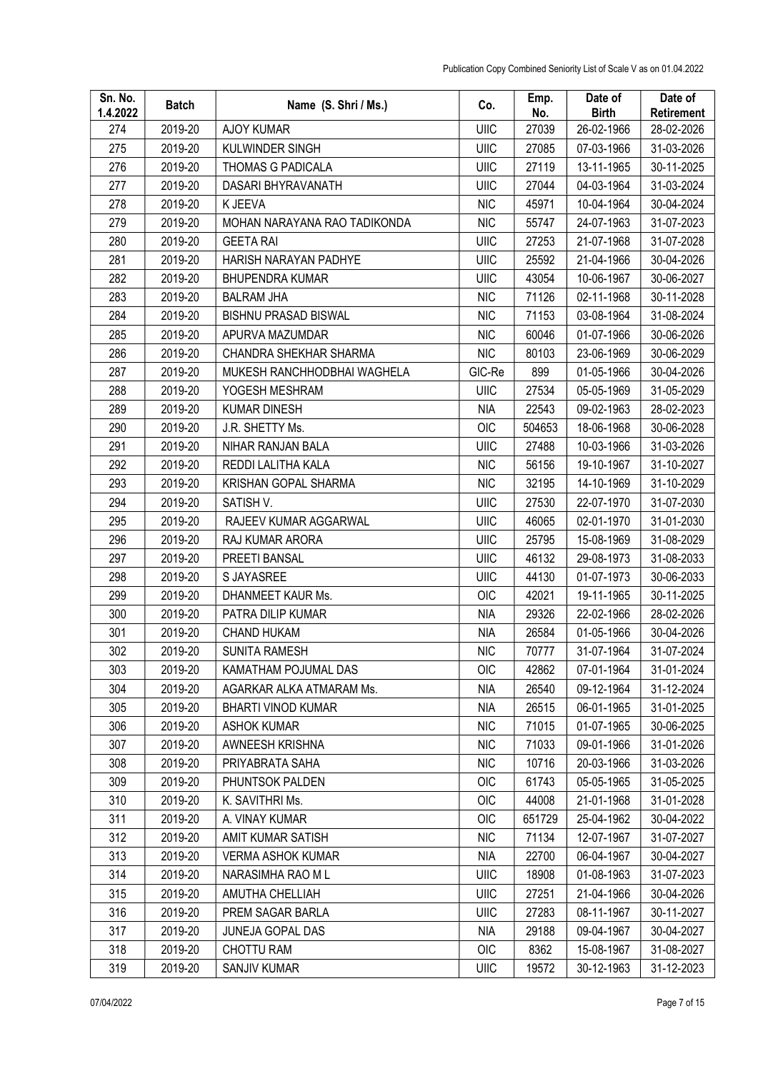| Sn. No.<br>1.4.2022 | <b>Batch</b> | Name (S. Shri / Ms.)         | Co.         | Emp.<br>No. | Date of<br><b>Birth</b> | Date of<br>Retirement |
|---------------------|--------------|------------------------------|-------------|-------------|-------------------------|-----------------------|
| 274                 | 2019-20      | <b>AJOY KUMAR</b>            | UIIC        | 27039       | 26-02-1966              | 28-02-2026            |
| 275                 | 2019-20      | KULWINDER SINGH              | UIIC        | 27085       | 07-03-1966              | 31-03-2026            |
| 276                 | 2019-20      | <b>THOMAS G PADICALA</b>     | UIIC        | 27119       | 13-11-1965              | 30-11-2025            |
| 277                 | 2019-20      | DASARI BHYRAVANATH           | <b>UIIC</b> | 27044       | 04-03-1964              | 31-03-2024            |
| 278                 | 2019-20      | K JEEVA                      | <b>NIC</b>  | 45971       | 10-04-1964              | 30-04-2024            |
| 279                 | 2019-20      | MOHAN NARAYANA RAO TADIKONDA | <b>NIC</b>  | 55747       | 24-07-1963              | 31-07-2023            |
| 280                 | 2019-20      | <b>GEETA RAI</b>             | UIIC        | 27253       | 21-07-1968              | 31-07-2028            |
| 281                 | 2019-20      | HARISH NARAYAN PADHYE        | UIIC        | 25592       | 21-04-1966              | 30-04-2026            |
| 282                 | 2019-20      | <b>BHUPENDRA KUMAR</b>       | <b>UIIC</b> | 43054       | 10-06-1967              | 30-06-2027            |
| 283                 | 2019-20      | <b>BALRAM JHA</b>            | <b>NIC</b>  | 71126       | 02-11-1968              | 30-11-2028            |
| 284                 | 2019-20      | <b>BISHNU PRASAD BISWAL</b>  | <b>NIC</b>  | 71153       | 03-08-1964              | 31-08-2024            |
| 285                 | 2019-20      | APURVA MAZUMDAR              | <b>NIC</b>  | 60046       | 01-07-1966              | 30-06-2026            |
| 286                 | 2019-20      | CHANDRA SHEKHAR SHARMA       | <b>NIC</b>  | 80103       | 23-06-1969              | 30-06-2029            |
| 287                 | 2019-20      | MUKESH RANCHHODBHAI WAGHELA  | GIC-Re      | 899         | 01-05-1966              | 30-04-2026            |
| 288                 | 2019-20      | YOGESH MESHRAM               | UIIC        | 27534       | 05-05-1969              | 31-05-2029            |
| 289                 | 2019-20      | <b>KUMAR DINESH</b>          | <b>NIA</b>  | 22543       | 09-02-1963              | 28-02-2023            |
| 290                 | 2019-20      | J.R. SHETTY Ms.              | OIC         | 504653      | 18-06-1968              | 30-06-2028            |
| 291                 | 2019-20      | NIHAR RANJAN BALA            | <b>UIIC</b> | 27488       | 10-03-1966              | 31-03-2026            |
| 292                 | 2019-20      | REDDI LALITHA KALA           | <b>NIC</b>  | 56156       | 19-10-1967              | 31-10-2027            |
| 293                 | 2019-20      | KRISHAN GOPAL SHARMA         | <b>NIC</b>  | 32195       | 14-10-1969              | 31-10-2029            |
| 294                 | 2019-20      | SATISH V.                    | <b>UIIC</b> | 27530       | 22-07-1970              | 31-07-2030            |
| 295                 | 2019-20      | RAJEEV KUMAR AGGARWAL        | <b>UIIC</b> | 46065       | 02-01-1970              | 31-01-2030            |
| 296                 | 2019-20      | RAJ KUMAR ARORA              | UIIC        | 25795       | 15-08-1969              | 31-08-2029            |
| 297                 | 2019-20      | PREETI BANSAL                | UIIC        | 46132       | 29-08-1973              | 31-08-2033            |
| 298                 | 2019-20      | S JAYASREE                   | <b>UIIC</b> | 44130       | 01-07-1973              | 30-06-2033            |
| 299                 | 2019-20      | DHANMEET KAUR Ms.            | <b>OIC</b>  | 42021       | 19-11-1965              | 30-11-2025            |
| 300                 | 2019-20      | PATRA DILIP KUMAR            | <b>NIA</b>  | 29326       | 22-02-1966              | 28-02-2026            |
| 301                 | 2019-20      | <b>CHAND HUKAM</b>           | <b>NIA</b>  | 26584       | 01-05-1966              | 30-04-2026            |
| 302                 | 2019-20      | SUNITA RAMESH                | <b>NIC</b>  | 70777       | 31-07-1964              | 31-07-2024            |
| 303                 | 2019-20      | KAMATHAM POJUMAL DAS         | <b>OIC</b>  | 42862       | 07-01-1964              | 31-01-2024            |
| 304                 | 2019-20      | AGARKAR ALKA ATMARAM Ms.     | <b>NIA</b>  | 26540       | 09-12-1964              | 31-12-2024            |
| 305                 | 2019-20      | <b>BHARTI VINOD KUMAR</b>    | <b>NIA</b>  | 26515       | 06-01-1965              | 31-01-2025            |
| 306                 | 2019-20      | <b>ASHOK KUMAR</b>           | <b>NIC</b>  | 71015       | 01-07-1965              | 30-06-2025            |
| 307                 | 2019-20      | AWNEESH KRISHNA              | <b>NIC</b>  | 71033       | 09-01-1966              | 31-01-2026            |
| 308                 | 2019-20      | PRIYABRATA SAHA              | <b>NIC</b>  | 10716       | 20-03-1966              | 31-03-2026            |
| 309                 | 2019-20      | PHUNTSOK PALDEN              | OIC         | 61743       | 05-05-1965              | 31-05-2025            |
| 310                 | 2019-20      | K. SAVITHRI Ms.              | <b>OIC</b>  | 44008       | 21-01-1968              | 31-01-2028            |
| 311                 | 2019-20      | A. VINAY KUMAR               | OIC         | 651729      | 25-04-1962              | 30-04-2022            |
| 312                 | 2019-20      | AMIT KUMAR SATISH            | <b>NIC</b>  | 71134       | 12-07-1967              | 31-07-2027            |
| 313                 | 2019-20      | <b>VERMA ASHOK KUMAR</b>     | <b>NIA</b>  | 22700       | 06-04-1967              | 30-04-2027            |
| 314                 | 2019-20      | NARASIMHA RAO ML             | UIIC        | 18908       | 01-08-1963              | 31-07-2023            |
| 315                 | 2019-20      | AMUTHA CHELLIAH              | UIIC        | 27251       | 21-04-1966              | 30-04-2026            |
| 316                 | 2019-20      | PREM SAGAR BARLA             | UIIC        | 27283       | 08-11-1967              | 30-11-2027            |
| 317                 | 2019-20      | JUNEJA GOPAL DAS             | NIA         | 29188       | 09-04-1967              | 30-04-2027            |
| 318                 | 2019-20      | CHOTTU RAM                   | OIC         | 8362        | 15-08-1967              | 31-08-2027            |
| 319                 | 2019-20      | SANJIV KUMAR                 | UIIC        | 19572       | 30-12-1963              | 31-12-2023            |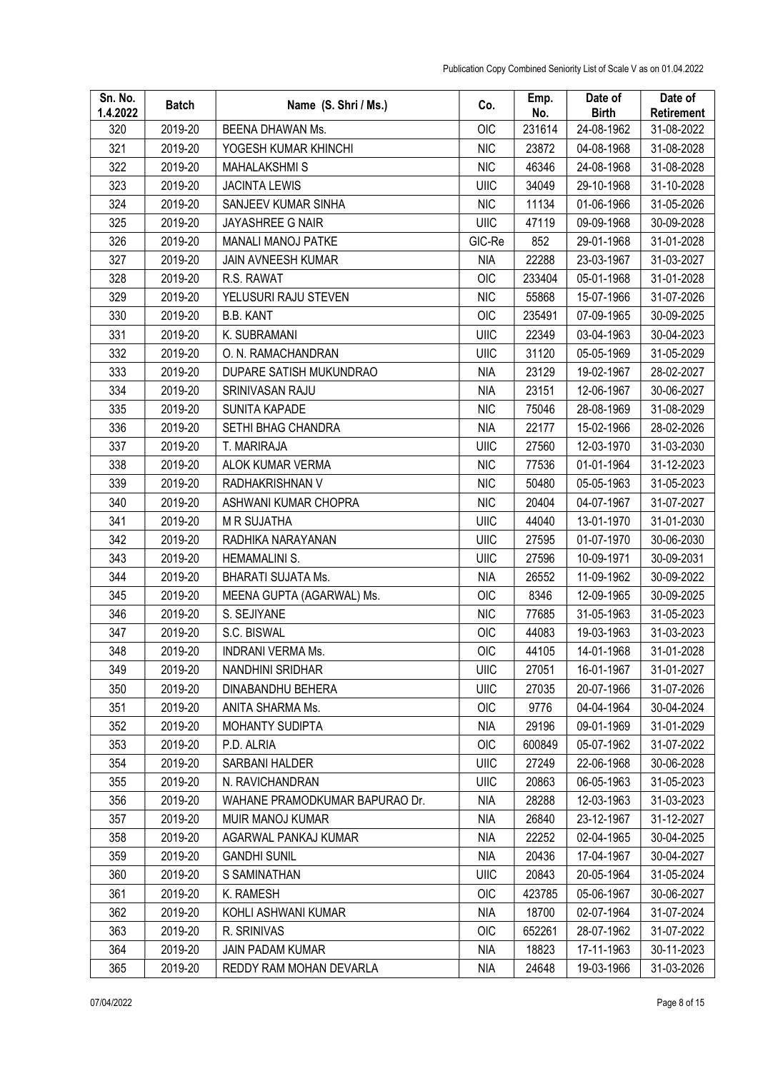| Sn. No.<br>1.4.2022 | <b>Batch</b> | Name (S. Shri / Ms.)           | Co.         | Emp.<br>No. | Date of<br><b>Birth</b> | Date of<br>Retirement |
|---------------------|--------------|--------------------------------|-------------|-------------|-------------------------|-----------------------|
| 320                 | 2019-20      | <b>BEENA DHAWAN Ms.</b>        | OIC         | 231614      | 24-08-1962              | 31-08-2022            |
| 321                 | 2019-20      | YOGESH KUMAR KHINCHI           | <b>NIC</b>  | 23872       | 04-08-1968              | 31-08-2028            |
| 322                 | 2019-20      | <b>MAHALAKSHMIS</b>            | <b>NIC</b>  | 46346       | 24-08-1968              | 31-08-2028            |
| 323                 | 2019-20      | <b>JACINTA LEWIS</b>           | <b>UIIC</b> | 34049       | 29-10-1968              | 31-10-2028            |
| 324                 | 2019-20      | SANJEEV KUMAR SINHA            | <b>NIC</b>  | 11134       | 01-06-1966              | 31-05-2026            |
| 325                 | 2019-20      | <b>JAYASHREE G NAIR</b>        | UIIC        | 47119       | 09-09-1968              | 30-09-2028            |
| 326                 | 2019-20      | MANALI MANOJ PATKE             | GIC-Re      | 852         | 29-01-1968              | 31-01-2028            |
| 327                 | 2019-20      | JAIN AVNEESH KUMAR             | <b>NIA</b>  | 22288       | 23-03-1967              | 31-03-2027            |
| 328                 | 2019-20      | R.S. RAWAT                     | OIC         | 233404      | 05-01-1968              | 31-01-2028            |
| 329                 | 2019-20      | YELUSURI RAJU STEVEN           | <b>NIC</b>  | 55868       | 15-07-1966              | 31-07-2026            |
| 330                 | 2019-20      | <b>B.B. KANT</b>               | OIC         | 235491      | 07-09-1965              | 30-09-2025            |
| 331                 | 2019-20      | K. SUBRAMANI                   | <b>UIIC</b> | 22349       | 03-04-1963              | 30-04-2023            |
| 332                 | 2019-20      | O. N. RAMACHANDRAN             | <b>UIIC</b> | 31120       | 05-05-1969              | 31-05-2029            |
| 333                 | 2019-20      | DUPARE SATISH MUKUNDRAO        | <b>NIA</b>  | 23129       | 19-02-1967              | 28-02-2027            |
| 334                 | 2019-20      | SRINIVASAN RAJU                | <b>NIA</b>  | 23151       | 12-06-1967              | 30-06-2027            |
| 335                 | 2019-20      | SUNITA KAPADE                  | <b>NIC</b>  | 75046       | 28-08-1969              | 31-08-2029            |
| 336                 | 2019-20      | SETHI BHAG CHANDRA             | <b>NIA</b>  | 22177       | 15-02-1966              | 28-02-2026            |
| 337                 | 2019-20      | T. MARIRAJA                    | <b>UIIC</b> | 27560       | 12-03-1970              | 31-03-2030            |
| 338                 | 2019-20      | ALOK KUMAR VERMA               | <b>NIC</b>  | 77536       | 01-01-1964              | 31-12-2023            |
| 339                 | 2019-20      | RADHAKRISHNAN V                | <b>NIC</b>  | 50480       | 05-05-1963              | 31-05-2023            |
| 340                 | 2019-20      | ASHWANI KUMAR CHOPRA           | <b>NIC</b>  | 20404       | 04-07-1967              | 31-07-2027            |
| 341                 | 2019-20      | <b>M R SUJATHA</b>             | <b>UIIC</b> | 44040       | 13-01-1970              | 31-01-2030            |
| 342                 | 2019-20      | RADHIKA NARAYANAN              | UIIC        | 27595       | 01-07-1970              | 30-06-2030            |
| 343                 | 2019-20      | <b>HEMAMALINI S.</b>           | UIIC        | 27596       | 10-09-1971              | 30-09-2031            |
| 344                 | 2019-20      | BHARATI SUJATA Ms.             | <b>NIA</b>  | 26552       | 11-09-1962              | 30-09-2022            |
| 345                 | 2019-20      | MEENA GUPTA (AGARWAL) Ms.      | <b>OIC</b>  | 8346        | 12-09-1965              | 30-09-2025            |
| 346                 | 2019-20      | S. SEJIYANE                    | <b>NIC</b>  | 77685       | 31-05-1963              | 31-05-2023            |
| 347                 | 2019-20      | S.C. BISWAL                    | <b>OIC</b>  | 44083       | 19-03-1963              | 31-03-2023            |
| 348                 | 2019-20      | <b>INDRANI VERMA Ms.</b>       | OIC         | 44105       | 14-01-1968              | 31-01-2028            |
| 349                 | 2019-20      | NANDHINI SRIDHAR               | UIIC        | 27051       | 16-01-1967              | 31-01-2027            |
| 350                 | 2019-20      | DINABANDHU BEHERA              | UIIC        | 27035       | 20-07-1966              | 31-07-2026            |
| 351                 | 2019-20      | ANITA SHARMA Ms.               | <b>OIC</b>  | 9776        | 04-04-1964              | 30-04-2024            |
| 352                 | 2019-20      | <b>MOHANTY SUDIPTA</b>         | <b>NIA</b>  | 29196       | 09-01-1969              | 31-01-2029            |
| 353                 | 2019-20      | P.D. ALRIA                     | OIC         | 600849      | 05-07-1962              | 31-07-2022            |
| 354                 | 2019-20      | SARBANI HALDER                 | UIIC        | 27249       | 22-06-1968              | 30-06-2028            |
| 355                 | 2019-20      | N. RAVICHANDRAN                | UIIC        | 20863       | 06-05-1963              | 31-05-2023            |
| 356                 | 2019-20      | WAHANE PRAMODKUMAR BAPURAO Dr. | NIA         | 28288       | 12-03-1963              | 31-03-2023            |
| 357                 | 2019-20      | MUIR MANOJ KUMAR               | <b>NIA</b>  | 26840       | 23-12-1967              | 31-12-2027            |
| 358                 | 2019-20      | AGARWAL PANKAJ KUMAR           | <b>NIA</b>  | 22252       | 02-04-1965              | 30-04-2025            |
| 359                 | 2019-20      | <b>GANDHI SUNIL</b>            | <b>NIA</b>  | 20436       | 17-04-1967              | 30-04-2027            |
| 360                 | 2019-20      | S SAMINATHAN                   | UIIC        | 20843       | 20-05-1964              | 31-05-2024            |
| 361                 | 2019-20      | K. RAMESH                      | OIC         | 423785      | 05-06-1967              | 30-06-2027            |
| 362                 | 2019-20      | KOHLI ASHWANI KUMAR            | <b>NIA</b>  | 18700       | 02-07-1964              | 31-07-2024            |
| 363                 | 2019-20      | R. SRINIVAS                    | OIC         | 652261      | 28-07-1962              | 31-07-2022            |
| 364                 | 2019-20      | <b>JAIN PADAM KUMAR</b>        | NIA         | 18823       | 17-11-1963              | 30-11-2023            |
| 365                 | 2019-20      | REDDY RAM MOHAN DEVARLA        | <b>NIA</b>  | 24648       | 19-03-1966              | 31-03-2026            |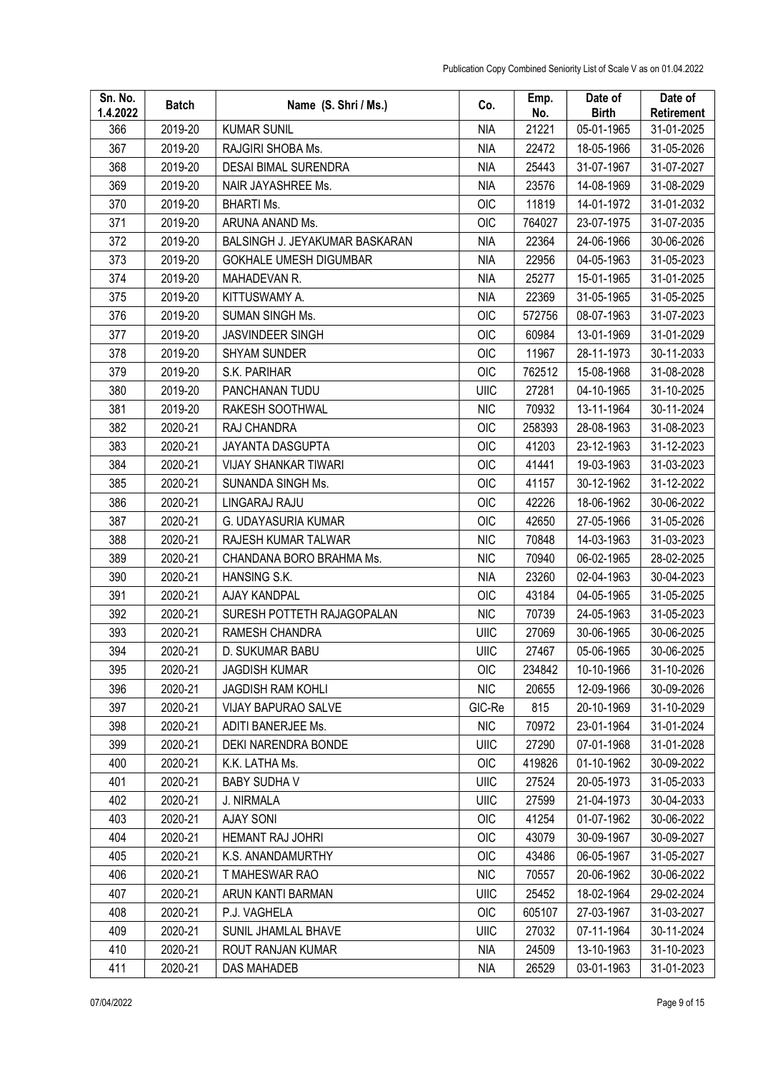| Sn. No.<br>1.4.2022 | <b>Batch</b> | Name (S. Shri / Ms.)           | Co.        | Emp.<br>No. | Date of<br><b>Birth</b> | Date of<br>Retirement |
|---------------------|--------------|--------------------------------|------------|-------------|-------------------------|-----------------------|
| 366                 | 2019-20      | <b>KUMAR SUNIL</b>             | <b>NIA</b> | 21221       | 05-01-1965              | 31-01-2025            |
| 367                 | 2019-20      | RAJGIRI SHOBA Ms.              | <b>NIA</b> | 22472       | 18-05-1966              | 31-05-2026            |
| 368                 | 2019-20      | <b>DESAI BIMAL SURENDRA</b>    | NIA        | 25443       | 31-07-1967              | 31-07-2027            |
| 369                 | 2019-20      | NAIR JAYASHREE Ms.             | <b>NIA</b> | 23576       | 14-08-1969              | 31-08-2029            |
| 370                 | 2019-20      | <b>BHARTI Ms.</b>              | OIC        | 11819       | 14-01-1972              | 31-01-2032            |
| 371                 | 2019-20      | ARUNA ANAND Ms.                | <b>OIC</b> | 764027      | 23-07-1975              | 31-07-2035            |
| 372                 | 2019-20      | BALSINGH J. JEYAKUMAR BASKARAN | <b>NIA</b> | 22364       | 24-06-1966              | 30-06-2026            |
| 373                 | 2019-20      | <b>GOKHALE UMESH DIGUMBAR</b>  | <b>NIA</b> | 22956       | 04-05-1963              | 31-05-2023            |
| 374                 | 2019-20      | MAHADEVAN R.                   | <b>NIA</b> | 25277       | 15-01-1965              | 31-01-2025            |
| 375                 | 2019-20      | KITTUSWAMY A.                  | <b>NIA</b> | 22369       | 31-05-1965              | 31-05-2025            |
| 376                 | 2019-20      | <b>SUMAN SINGH Ms.</b>         | <b>OIC</b> | 572756      | 08-07-1963              | 31-07-2023            |
| 377                 | 2019-20      | <b>JASVINDEER SINGH</b>        | OIC        | 60984       | 13-01-1969              | 31-01-2029            |
| 378                 | 2019-20      | <b>SHYAM SUNDER</b>            | OIC        | 11967       | 28-11-1973              | 30-11-2033            |
| 379                 | 2019-20      | S.K. PARIHAR                   | OIC        | 762512      | 15-08-1968              | 31-08-2028            |
| 380                 | 2019-20      | PANCHANAN TUDU                 | UIIC       | 27281       | 04-10-1965              | 31-10-2025            |
| 381                 | 2019-20      | RAKESH SOOTHWAL                | <b>NIC</b> | 70932       | 13-11-1964              | 30-11-2024            |
| 382                 | 2020-21      | RAJ CHANDRA                    | OIC        | 258393      | 28-08-1963              | 31-08-2023            |
| 383                 | 2020-21      | JAYANTA DASGUPTA               | OIC        | 41203       | 23-12-1963              | 31-12-2023            |
| 384                 | 2020-21      | <b>VIJAY SHANKAR TIWARI</b>    | <b>OIC</b> | 41441       | 19-03-1963              | 31-03-2023            |
| 385                 | 2020-21      | SUNANDA SINGH Ms.              | OIC        | 41157       | 30-12-1962              | 31-12-2022            |
| 386                 | 2020-21      | LINGARAJ RAJU                  | OIC        | 42226       | 18-06-1962              | 30-06-2022            |
| 387                 | 2020-21      | G. UDAYASURIA KUMAR            | OIC        | 42650       | 27-05-1966              | 31-05-2026            |
| 388                 | 2020-21      | RAJESH KUMAR TALWAR            | <b>NIC</b> | 70848       | 14-03-1963              | 31-03-2023            |
| 389                 | 2020-21      | CHANDANA BORO BRAHMA Ms.       | <b>NIC</b> | 70940       | 06-02-1965              | 28-02-2025            |
| 390                 | 2020-21      | HANSING S.K.                   | <b>NIA</b> | 23260       | 02-04-1963              | 30-04-2023            |
| 391                 | 2020-21      | AJAY KANDPAL                   | <b>OIC</b> | 43184       | 04-05-1965              | 31-05-2025            |
| 392                 | 2020-21      | SURESH POTTETH RAJAGOPALAN     | <b>NIC</b> | 70739       | 24-05-1963              | 31-05-2023            |
| 393                 | 2020-21      | RAMESH CHANDRA                 | UIIC       | 27069       | 30-06-1965              | 30-06-2025            |
| 394                 | 2020-21      | D. SUKUMAR BABU                | UIIC       | 27467       | 05-06-1965              | 30-06-2025            |
| 395                 | 2020-21      | <b>JAGDISH KUMAR</b>           | <b>OIC</b> | 234842      | 10-10-1966              | 31-10-2026            |
| 396                 | 2020-21      | <b>JAGDISH RAM KOHLI</b>       | <b>NIC</b> | 20655       | 12-09-1966              | 30-09-2026            |
| 397                 | 2020-21      | VIJAY BAPURAO SALVE            | GIC-Re     | 815         | 20-10-1969              | 31-10-2029            |
| 398                 | 2020-21      | ADITI BANERJEE Ms.             | <b>NIC</b> | 70972       | 23-01-1964              | 31-01-2024            |
| 399                 | 2020-21      | DEKI NARENDRA BONDE            | UIIC       | 27290       | 07-01-1968              | 31-01-2028            |
| 400                 | 2020-21      | K.K. LATHA Ms.                 | <b>OIC</b> | 419826      | 01-10-1962              | 30-09-2022            |
| 401                 | 2020-21      | <b>BABY SUDHA V</b>            | UIIC       | 27524       | 20-05-1973              | 31-05-2033            |
| 402                 | 2020-21      | J. NIRMALA                     | UIIC       | 27599       | 21-04-1973              | 30-04-2033            |
| 403                 | 2020-21      | <b>AJAY SONI</b>               | OIC        | 41254       | 01-07-1962              | 30-06-2022            |
| 404                 | 2020-21      | <b>HEMANT RAJ JOHRI</b>        | OIC        | 43079       | 30-09-1967              | 30-09-2027            |
| 405                 | 2020-21      | K.S. ANANDAMURTHY              | <b>OIC</b> | 43486       | 06-05-1967              | 31-05-2027            |
| 406                 | 2020-21      | T MAHESWAR RAO                 | <b>NIC</b> | 70557       | 20-06-1962              | 30-06-2022            |
| 407                 | 2020-21      | ARUN KANTI BARMAN              | UIIC       | 25452       | 18-02-1964              | 29-02-2024            |
| 408                 | 2020-21      | P.J. VAGHELA                   | OIC        | 605107      | 27-03-1967              | 31-03-2027            |
| 409                 | 2020-21      | SUNIL JHAMLAL BHAVE            | UIIC       | 27032       | 07-11-1964              | 30-11-2024            |
| 410                 | 2020-21      | ROUT RANJAN KUMAR              | <b>NIA</b> | 24509       | 13-10-1963              | 31-10-2023            |
| 411                 | 2020-21      | DAS MAHADEB                    | NIA        | 26529       | 03-01-1963              | 31-01-2023            |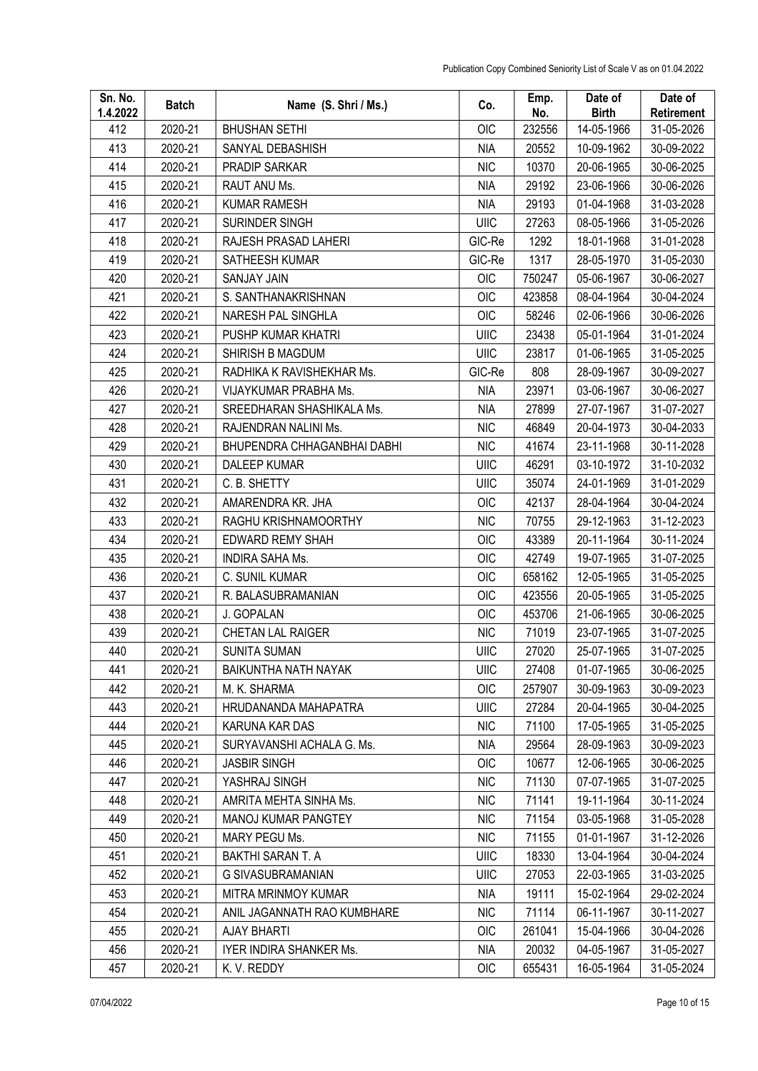| Sn. No.<br>1.4.2022 | <b>Batch</b> | Name (S. Shri / Ms.)        | Co.         | Emp.<br>No. | Date of<br><b>Birth</b> | Date of<br><b>Retirement</b> |
|---------------------|--------------|-----------------------------|-------------|-------------|-------------------------|------------------------------|
| 412                 | 2020-21      | <b>BHUSHAN SETHI</b>        | OIC         | 232556      | 14-05-1966              | 31-05-2026                   |
| 413                 | 2020-21      | SANYAL DEBASHISH            | <b>NIA</b>  | 20552       | 10-09-1962              | 30-09-2022                   |
| 414                 | 2020-21      | PRADIP SARKAR               | <b>NIC</b>  | 10370       | 20-06-1965              | 30-06-2025                   |
| 415                 | 2020-21      | RAUT ANU Ms.                | <b>NIA</b>  | 29192       | 23-06-1966              | 30-06-2026                   |
| 416                 | 2020-21      | <b>KUMAR RAMESH</b>         | <b>NIA</b>  | 29193       | 01-04-1968              | 31-03-2028                   |
| 417                 | 2020-21      | SURINDER SINGH              | <b>UIIC</b> | 27263       | 08-05-1966              | 31-05-2026                   |
| 418                 | 2020-21      | RAJESH PRASAD LAHERI        | GIC-Re      | 1292        | 18-01-1968              | 31-01-2028                   |
| 419                 | 2020-21      | SATHEESH KUMAR              | GIC-Re      | 1317        | 28-05-1970              | 31-05-2030                   |
| 420                 | 2020-21      | <b>SANJAY JAIN</b>          | <b>OIC</b>  | 750247      | 05-06-1967              | 30-06-2027                   |
| 421                 | 2020-21      | S. SANTHANAKRISHNAN         | <b>OIC</b>  | 423858      | 08-04-1964              | 30-04-2024                   |
| 422                 | 2020-21      | NARESH PAL SINGHLA          | OIC         | 58246       | 02-06-1966              | 30-06-2026                   |
| 423                 | 2020-21      | PUSHP KUMAR KHATRI          | <b>UIIC</b> | 23438       | 05-01-1964              | 31-01-2024                   |
| 424                 | 2020-21      | SHIRISH B MAGDUM            | UIIC        | 23817       | 01-06-1965              | 31-05-2025                   |
| 425                 | 2020-21      | RADHIKA K RAVISHEKHAR Ms.   | GIC-Re      | 808         | 28-09-1967              | 30-09-2027                   |
| 426                 | 2020-21      | VIJAYKUMAR PRABHA Ms.       | <b>NIA</b>  | 23971       | 03-06-1967              | 30-06-2027                   |
| 427                 | 2020-21      | SREEDHARAN SHASHIKALA Ms.   | <b>NIA</b>  | 27899       | 27-07-1967              | 31-07-2027                   |
| 428                 | 2020-21      | RAJENDRAN NALINI Ms.        | <b>NIC</b>  | 46849       | 20-04-1973              | 30-04-2033                   |
| 429                 | 2020-21      | BHUPENDRA CHHAGANBHAI DABHI | <b>NIC</b>  | 41674       | 23-11-1968              | 30-11-2028                   |
| 430                 | 2020-21      | DALEEP KUMAR                | <b>UIIC</b> | 46291       | 03-10-1972              | 31-10-2032                   |
| 431                 | 2020-21      | C. B. SHETTY                | UIIC        | 35074       | 24-01-1969              | 31-01-2029                   |
| 432                 | 2020-21      | AMARENDRA KR. JHA           | <b>OIC</b>  | 42137       | 28-04-1964              | 30-04-2024                   |
| 433                 | 2020-21      | RAGHU KRISHNAMOORTHY        | <b>NIC</b>  | 70755       | 29-12-1963              | 31-12-2023                   |
| 434                 | 2020-21      | EDWARD REMY SHAH            | <b>OIC</b>  | 43389       | 20-11-1964              | 30-11-2024                   |
| 435                 | 2020-21      | <b>INDIRA SAHA Ms.</b>      | OIC         | 42749       | 19-07-1965              | 31-07-2025                   |
| 436                 | 2020-21      | C. SUNIL KUMAR              | OIC         | 658162      | 12-05-1965              | 31-05-2025                   |
| 437                 | 2020-21      | R. BALASUBRAMANIAN          | OIC         | 423556      | 20-05-1965              | 31-05-2025                   |
| 438                 | 2020-21      | J. GOPALAN                  | <b>OIC</b>  | 453706      | 21-06-1965              | 30-06-2025                   |
| 439                 | 2020-21      | CHETAN LAL RAIGER           | <b>NIC</b>  | 71019       | 23-07-1965              | 31-07-2025                   |
| 440                 | 2020-21      | <b>SUNITA SUMAN</b>         | UIIC        | 27020       | 25-07-1965              | 31-07-2025                   |
| 441                 | 2020-21      | BAIKUNTHA NATH NAYAK        | <b>UIIC</b> | 27408       | 01-07-1965              | 30-06-2025                   |
| 442                 | 2020-21      | M. K. SHARMA                | <b>OIC</b>  | 257907      | 30-09-1963              | 30-09-2023                   |
| 443                 | 2020-21      | HRUDANANDA MAHAPATRA        | UIIC        | 27284       | 20-04-1965              | 30-04-2025                   |
| 444                 | 2020-21      | KARUNA KAR DAS              | <b>NIC</b>  | 71100       | 17-05-1965              | 31-05-2025                   |
| 445                 | 2020-21      | SURYAVANSHI ACHALA G. Ms.   | <b>NIA</b>  | 29564       | 28-09-1963              | 30-09-2023                   |
| 446                 | 2020-21      | <b>JASBIR SINGH</b>         | OIC         | 10677       | 12-06-1965              | 30-06-2025                   |
| 447                 | 2020-21      | YASHRAJ SINGH               | <b>NIC</b>  | 71130       | 07-07-1965              | 31-07-2025                   |
| 448                 | 2020-21      | AMRITA MEHTA SINHA Ms.      | <b>NIC</b>  | 71141       | 19-11-1964              | 30-11-2024                   |
| 449                 | 2020-21      | MANOJ KUMAR PANGTEY         | <b>NIC</b>  | 71154       | 03-05-1968              | 31-05-2028                   |
| 450                 | 2020-21      | MARY PEGU Ms.               | <b>NIC</b>  | 71155       | 01-01-1967              | 31-12-2026                   |
| 451                 | 2020-21      | <b>BAKTHI SARAN T. A</b>    | <b>UIIC</b> | 18330       | 13-04-1964              | 30-04-2024                   |
| 452                 | 2020-21      | G SIVASUBRAMANIAN           | UIIC        | 27053       | 22-03-1965              | 31-03-2025                   |
| 453                 | 2020-21      | MITRA MRINMOY KUMAR         | <b>NIA</b>  | 19111       | 15-02-1964              | 29-02-2024                   |
| 454                 | 2020-21      | ANIL JAGANNATH RAO KUMBHARE | <b>NIC</b>  | 71114       | 06-11-1967              | 30-11-2027                   |
| 455                 | 2020-21      | <b>AJAY BHARTI</b>          | OIC         | 261041      | 15-04-1966              | 30-04-2026                   |
| 456                 | 2020-21      | IYER INDIRA SHANKER Ms.     | <b>NIA</b>  | 20032       | 04-05-1967              | 31-05-2027                   |
| 457                 | 2020-21      | K. V. REDDY                 | OIC         | 655431      | 16-05-1964              | 31-05-2024                   |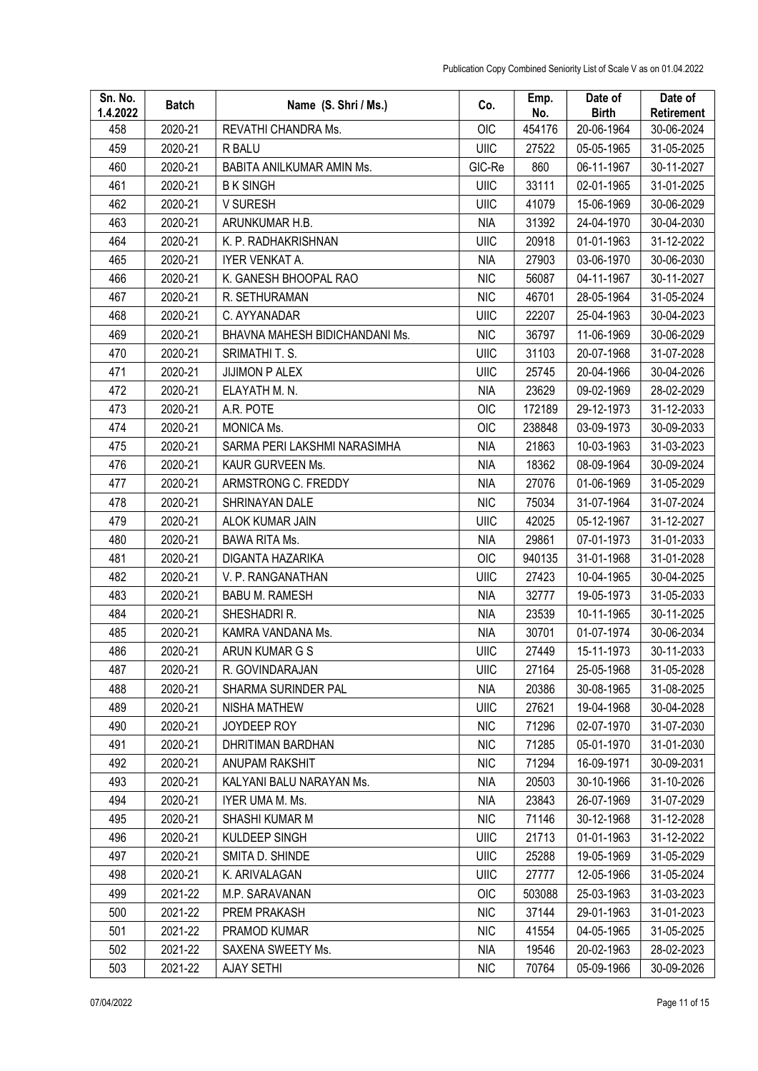| Sn. No.<br>1.4.2022 | <b>Batch</b> | Name (S. Shri / Ms.)           | Co.         | Emp.<br>No. | Date of<br><b>Birth</b> | Date of<br>Retirement |
|---------------------|--------------|--------------------------------|-------------|-------------|-------------------------|-----------------------|
| 458                 | 2020-21      | REVATHI CHANDRA Ms.            | OIC         | 454176      | 20-06-1964              | 30-06-2024            |
| 459                 | 2020-21      | R BALU                         | UIIC        | 27522       | 05-05-1965              | 31-05-2025            |
| 460                 | 2020-21      | BABITA ANILKUMAR AMIN Ms.      | GIC-Re      | 860         | 06-11-1967              | 30-11-2027            |
| 461                 | 2020-21      | <b>BK SINGH</b>                | <b>UIIC</b> | 33111       | 02-01-1965              | 31-01-2025            |
| 462                 | 2020-21      | V SURESH                       | UIIC        | 41079       | 15-06-1969              | 30-06-2029            |
| 463                 | 2020-21      | ARUNKUMAR H.B.                 | <b>NIA</b>  | 31392       | 24-04-1970              | 30-04-2030            |
| 464                 | 2020-21      | K. P. RADHAKRISHNAN            | UIIC        | 20918       | 01-01-1963              | 31-12-2022            |
| 465                 | 2020-21      | IYER VENKAT A.                 | <b>NIA</b>  | 27903       | 03-06-1970              | 30-06-2030            |
| 466                 | 2020-21      | K. GANESH BHOOPAL RAO          | <b>NIC</b>  | 56087       | 04-11-1967              | 30-11-2027            |
| 467                 | 2020-21      | R. SETHURAMAN                  | <b>NIC</b>  | 46701       | 28-05-1964              | 31-05-2024            |
| 468                 | 2020-21      | C. AYYANADAR                   | UIIC        | 22207       | 25-04-1963              | 30-04-2023            |
| 469                 | 2020-21      | BHAVNA MAHESH BIDICHANDANI Ms. | <b>NIC</b>  | 36797       | 11-06-1969              | 30-06-2029            |
| 470                 | 2020-21      | SRIMATHI T. S.                 | <b>UIIC</b> | 31103       | 20-07-1968              | 31-07-2028            |
| 471                 | 2020-21      | <b>JIJIMON P ALEX</b>          | UIIC        | 25745       | 20-04-1966              | 30-04-2026            |
| 472                 | 2020-21      | ELAYATH M. N.                  | <b>NIA</b>  | 23629       | 09-02-1969              | 28-02-2029            |
| 473                 | 2020-21      | A.R. POTE                      | OIC         | 172189      | 29-12-1973              | 31-12-2033            |
| 474                 | 2020-21      | <b>MONICA Ms.</b>              | OIC         | 238848      | 03-09-1973              | 30-09-2033            |
| 475                 | 2020-21      | SARMA PERI LAKSHMI NARASIMHA   | <b>NIA</b>  | 21863       | 10-03-1963              | 31-03-2023            |
| 476                 | 2020-21      | KAUR GURVEEN Ms.               | <b>NIA</b>  | 18362       | 08-09-1964              | 30-09-2024            |
| 477                 | 2020-21      | ARMSTRONG C. FREDDY            | <b>NIA</b>  | 27076       | 01-06-1969              | 31-05-2029            |
| 478                 | 2020-21      | SHRINAYAN DALE                 | <b>NIC</b>  | 75034       | 31-07-1964              | 31-07-2024            |
| 479                 | 2020-21      | ALOK KUMAR JAIN                | <b>UIIC</b> | 42025       | 05-12-1967              | 31-12-2027            |
| 480                 | 2020-21      | <b>BAWA RITA Ms.</b>           | <b>NIA</b>  | 29861       | 07-01-1973              | 31-01-2033            |
| 481                 | 2020-21      | DIGANTA HAZARIKA               | <b>OIC</b>  | 940135      | 31-01-1968              | 31-01-2028            |
| 482                 | 2020-21      | V. P. RANGANATHAN              | <b>UIIC</b> | 27423       | 10-04-1965              | 30-04-2025            |
| 483                 | 2020-21      | <b>BABU M. RAMESH</b>          | <b>NIA</b>  | 32777       | 19-05-1973              | 31-05-2033            |
| 484                 | 2020-21      | SHESHADRI R.                   | <b>NIA</b>  | 23539       | 10-11-1965              | 30-11-2025            |
| 485                 | 2020-21      | KAMRA VANDANA Ms.              | <b>NIA</b>  | 30701       | 01-07-1974              | 30-06-2034            |
| 486                 | 2020-21      | ARUN KUMAR G S                 | UIIC        | 27449       | 15-11-1973              | 30-11-2033            |
| 487                 | 2020-21      | R. GOVINDARAJAN                | <b>UIIC</b> | 27164       | 25-05-1968              | 31-05-2028            |
| 488                 | 2020-21      | SHARMA SURINDER PAL            | <b>NIA</b>  | 20386       | 30-08-1965              | 31-08-2025            |
| 489                 | 2020-21      | NISHA MATHEW                   | UIIC        | 27621       | 19-04-1968              | 30-04-2028            |
| 490                 | 2020-21      | JOYDEEP ROY                    | <b>NIC</b>  | 71296       | 02-07-1970              | 31-07-2030            |
| 491                 | 2020-21      | <b>DHRITIMAN BARDHAN</b>       | <b>NIC</b>  | 71285       | 05-01-1970              | 31-01-2030            |
| 492                 | 2020-21      | ANUPAM RAKSHIT                 | <b>NIC</b>  | 71294       | 16-09-1971              | 30-09-2031            |
| 493                 | 2020-21      | KALYANI BALU NARAYAN Ms.       | <b>NIA</b>  | 20503       | 30-10-1966              | 31-10-2026            |
| 494                 | 2020-21      | IYER UMA M. Ms.                | <b>NIA</b>  | 23843       | 26-07-1969              | 31-07-2029            |
| 495                 | 2020-21      | SHASHI KUMAR M                 | <b>NIC</b>  | 71146       | 30-12-1968              | 31-12-2028            |
| 496                 | 2020-21      | KULDEEP SINGH                  | UIIC        | 21713       | 01-01-1963              | 31-12-2022            |
| 497                 | 2020-21      | SMITA D. SHINDE                | <b>UIIC</b> | 25288       | 19-05-1969              | 31-05-2029            |
| 498                 | 2020-21      | K. ARIVALAGAN                  | UIIC        | 27777       | 12-05-1966              | 31-05-2024            |
| 499                 | 2021-22      | M.P. SARAVANAN                 | OIC         | 503088      | 25-03-1963              | 31-03-2023            |
| 500                 | 2021-22      | PREM PRAKASH                   | <b>NIC</b>  | 37144       | 29-01-1963              | 31-01-2023            |
| 501                 | 2021-22      | PRAMOD KUMAR                   | <b>NIC</b>  | 41554       | 04-05-1965              | 31-05-2025            |
| 502                 | 2021-22      | SAXENA SWEETY Ms.              | <b>NIA</b>  | 19546       | 20-02-1963              | 28-02-2023            |
| 503                 | 2021-22      | <b>AJAY SETHI</b>              | <b>NIC</b>  | 70764       | 05-09-1966              | 30-09-2026            |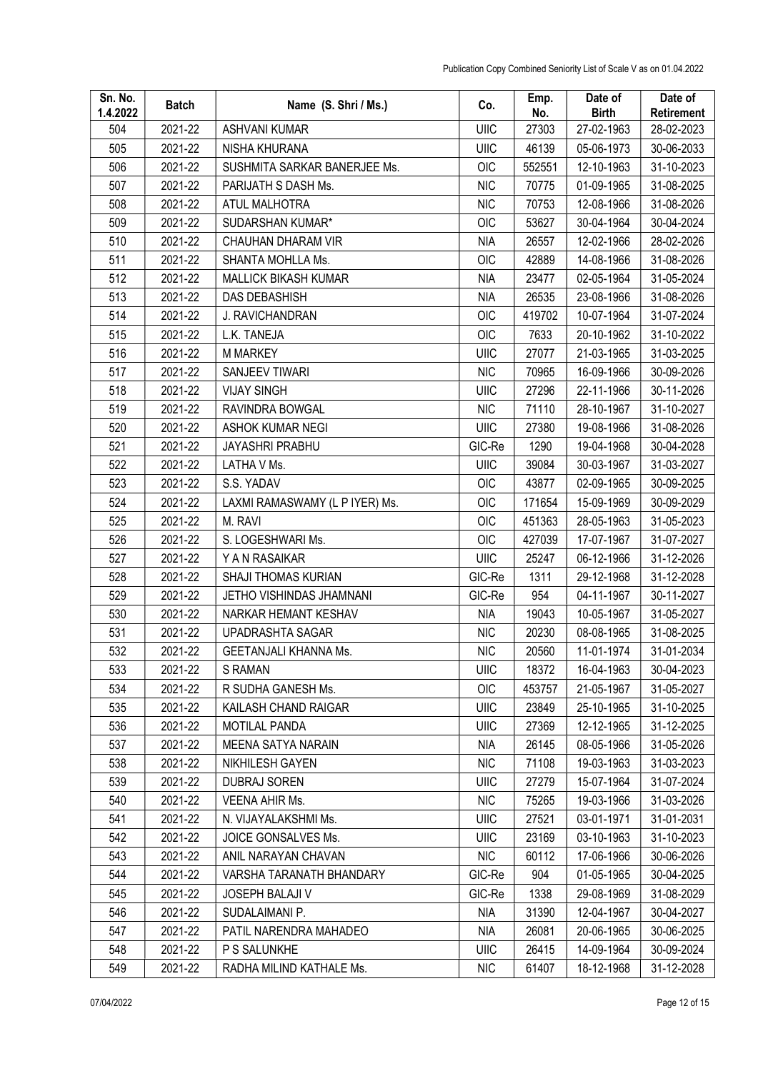| Sn. No.<br>1.4.2022 | <b>Batch</b> | Name (S. Shri / Ms.)           | Co.         | Emp.<br>No. | Date of<br><b>Birth</b> | Date of<br>Retirement |
|---------------------|--------------|--------------------------------|-------------|-------------|-------------------------|-----------------------|
| 504                 | 2021-22      | <b>ASHVANI KUMAR</b>           | UIIC        | 27303       | 27-02-1963              | 28-02-2023            |
| 505                 | 2021-22      | NISHA KHURANA                  | UIIC        | 46139       | 05-06-1973              | 30-06-2033            |
| 506                 | 2021-22      | SUSHMITA SARKAR BANERJEE Ms.   | <b>OIC</b>  | 552551      | 12-10-1963              | 31-10-2023            |
| 507                 | 2021-22      | PARIJATH S DASH Ms.            | <b>NIC</b>  | 70775       | 01-09-1965              | 31-08-2025            |
| 508                 | 2021-22      | ATUL MALHOTRA                  | <b>NIC</b>  | 70753       | 12-08-1966              | 31-08-2026            |
| 509                 | 2021-22      | SUDARSHAN KUMAR*               | OIC         | 53627       | 30-04-1964              | 30-04-2024            |
| 510                 | 2021-22      | CHAUHAN DHARAM VIR             | <b>NIA</b>  | 26557       | 12-02-1966              | 28-02-2026            |
| 511                 | 2021-22      | SHANTA MOHLLA Ms.              | OIC         | 42889       | 14-08-1966              | 31-08-2026            |
| 512                 | 2021-22      | <b>MALLICK BIKASH KUMAR</b>    | <b>NIA</b>  | 23477       | 02-05-1964              | 31-05-2024            |
| 513                 | 2021-22      | DAS DEBASHISH                  | <b>NIA</b>  | 26535       | 23-08-1966              | 31-08-2026            |
| 514                 | 2021-22      | J. RAVICHANDRAN                | OIC         | 419702      | 10-07-1964              | 31-07-2024            |
| 515                 | 2021-22      | L.K. TANEJA                    | OIC         | 7633        | 20-10-1962              | 31-10-2022            |
| 516                 | 2021-22      | <b>M MARKEY</b>                | <b>UIIC</b> | 27077       | 21-03-1965              | 31-03-2025            |
| 517                 | 2021-22      | SANJEEV TIWARI                 | <b>NIC</b>  | 70965       | 16-09-1966              | 30-09-2026            |
| 518                 | 2021-22      | <b>VIJAY SINGH</b>             | UIIC        | 27296       | 22-11-1966              | 30-11-2026            |
| 519                 | 2021-22      | RAVINDRA BOWGAL                | <b>NIC</b>  | 71110       | 28-10-1967              | 31-10-2027            |
| 520                 | 2021-22      | <b>ASHOK KUMAR NEGI</b>        | <b>UIIC</b> | 27380       | 19-08-1966              | 31-08-2026            |
| 521                 | 2021-22      | <b>JAYASHRI PRABHU</b>         | GIC-Re      | 1290        | 19-04-1968              | 30-04-2028            |
| 522                 | 2021-22      | LATHA V Ms.                    | UIIC        | 39084       | 30-03-1967              | 31-03-2027            |
| 523                 | 2021-22      | S.S. YADAV                     | OIC         | 43877       | 02-09-1965              | 30-09-2025            |
| 524                 | 2021-22      | LAXMI RAMASWAMY (L P IYER) Ms. | OIC         | 171654      | 15-09-1969              | 30-09-2029            |
| 525                 | 2021-22      | M. RAVI                        | <b>OIC</b>  | 451363      | 28-05-1963              | 31-05-2023            |
| 526                 | 2021-22      | S. LOGESHWARI Ms.              | OIC         | 427039      | 17-07-1967              | 31-07-2027            |
| 527                 | 2021-22      | Y A N RASAIKAR                 | UIIC        | 25247       | 06-12-1966              | 31-12-2026            |
| 528                 | 2021-22      | SHAJI THOMAS KURIAN            | GIC-Re      | 1311        | 29-12-1968              | 31-12-2028            |
| 529                 | 2021-22      | JETHO VISHINDAS JHAMNANI       | GIC-Re      | 954         | 04-11-1967              | 30-11-2027            |
| 530                 | 2021-22      | NARKAR HEMANT KESHAV           | <b>NIA</b>  | 19043       | 10-05-1967              | 31-05-2027            |
| 531                 | 2021-22      | UPADRASHTA SAGAR               | <b>NIC</b>  | 20230       | 08-08-1965              | 31-08-2025            |
| 532                 | 2021-22      | GEETANJALI KHANNA Ms.          | <b>NIC</b>  | 20560       | 11-01-1974              | 31-01-2034            |
| 533                 | 2021-22      | <b>S RAMAN</b>                 | UIIC        | 18372       | 16-04-1963              | 30-04-2023            |
| 534                 | 2021-22      | R SUDHA GANESH Ms.             | <b>OIC</b>  | 453757      | 21-05-1967              | 31-05-2027            |
| 535                 | 2021-22      | KAILASH CHAND RAIGAR           | UIIC        | 23849       | 25-10-1965              | 31-10-2025            |
| 536                 | 2021-22      | <b>MOTILAL PANDA</b>           | UIIC        | 27369       | 12-12-1965              | 31-12-2025            |
| 537                 | 2021-22      | MEENA SATYA NARAIN             | <b>NIA</b>  | 26145       | 08-05-1966              | 31-05-2026            |
| 538                 | 2021-22      | NIKHILESH GAYEN                | <b>NIC</b>  | 71108       | 19-03-1963              | 31-03-2023            |
| 539                 | 2021-22      | <b>DUBRAJ SOREN</b>            | UIIC        | 27279       | 15-07-1964              | 31-07-2024            |
| 540                 | 2021-22      | <b>VEENA AHIR Ms.</b>          | <b>NIC</b>  | 75265       | 19-03-1966              | 31-03-2026            |
| 541                 | 2021-22      | N. VIJAYALAKSHMI Ms.           | <b>UIIC</b> | 27521       | 03-01-1971              | 31-01-2031            |
| 542                 | 2021-22      | JOICE GONSALVES Ms.            | UIIC        | 23169       | 03-10-1963              | 31-10-2023            |
| 543                 | 2021-22      | ANIL NARAYAN CHAVAN            | <b>NIC</b>  | 60112       | 17-06-1966              | 30-06-2026            |
| 544                 | 2021-22      | VARSHA TARANATH BHANDARY       | GIC-Re      | 904         | 01-05-1965              | 30-04-2025            |
| 545                 | 2021-22      | JOSEPH BALAJI V                | GIC-Re      | 1338        | 29-08-1969              | 31-08-2029            |
| 546                 | 2021-22      | SUDALAIMANI P.                 | NIA         | 31390       | 12-04-1967              | 30-04-2027            |
| 547                 | 2021-22      | PATIL NARENDRA MAHADEO         | <b>NIA</b>  | 26081       | 20-06-1965              | 30-06-2025            |
| 548                 | 2021-22      | P S SALUNKHE                   | UIIC        | 26415       | 14-09-1964              | 30-09-2024            |
| 549                 | 2021-22      | RADHA MILIND KATHALE Ms.       | <b>NIC</b>  | 61407       | 18-12-1968              | 31-12-2028            |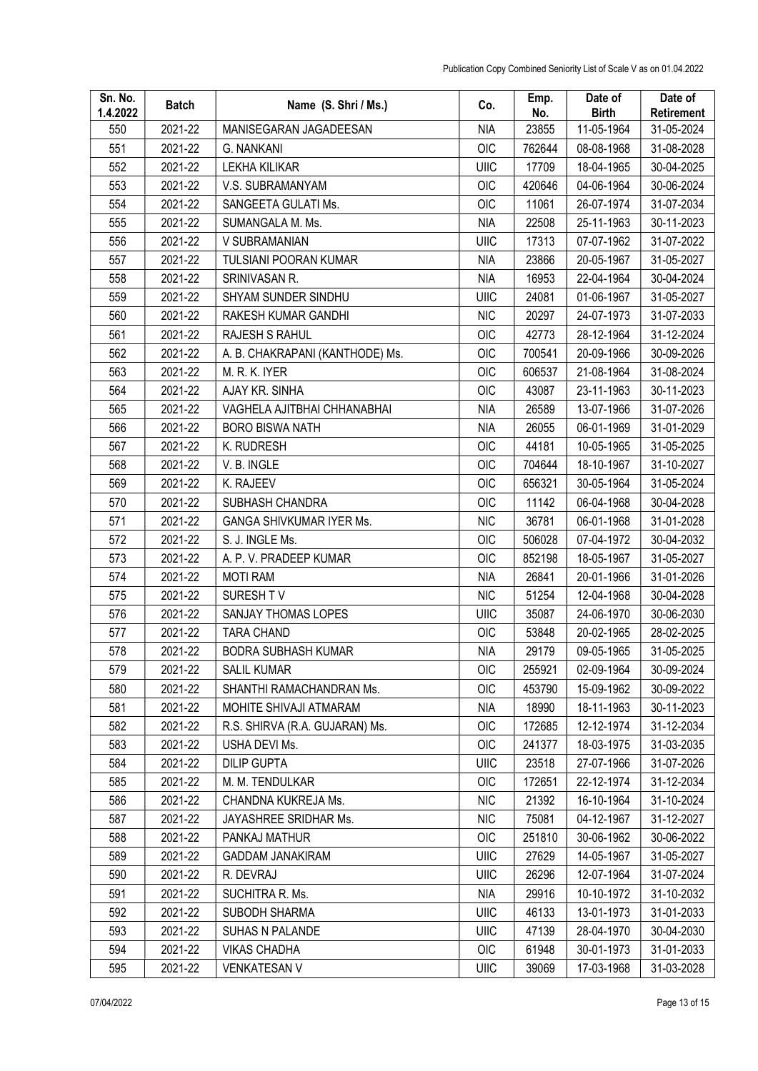| Sn. No.<br>1.4.2022 | <b>Batch</b> | Name (S. Shri / Ms.)            | Co.        | Emp.<br>No. | Date of<br><b>Birth</b> | Date of<br>Retirement |
|---------------------|--------------|---------------------------------|------------|-------------|-------------------------|-----------------------|
| 550                 | 2021-22      | MANISEGARAN JAGADEESAN          | <b>NIA</b> | 23855       | 11-05-1964              | 31-05-2024            |
| 551                 | 2021-22      | G. NANKANI                      | <b>OIC</b> | 762644      | 08-08-1968              | 31-08-2028            |
| 552                 | 2021-22      | <b>LEKHA KILIKAR</b>            | UIIC       | 17709       | 18-04-1965              | 30-04-2025            |
| 553                 | 2021-22      | V.S. SUBRAMANYAM                | <b>OIC</b> | 420646      | 04-06-1964              | 30-06-2024            |
| 554                 | 2021-22      | SANGEETA GULATI Ms.             | OIC        | 11061       | 26-07-1974              | 31-07-2034            |
| 555                 | 2021-22      | SUMANGALA M. Ms.                | <b>NIA</b> | 22508       | 25-11-1963              | 30-11-2023            |
| 556                 | 2021-22      | V SUBRAMANIAN                   | UIIC       | 17313       | 07-07-1962              | 31-07-2022            |
| 557                 | 2021-22      | <b>TULSIANI POORAN KUMAR</b>    | <b>NIA</b> | 23866       | 20-05-1967              | 31-05-2027            |
| 558                 | 2021-22      | SRINIVASAN R.                   | <b>NIA</b> | 16953       | 22-04-1964              | 30-04-2024            |
| 559                 | 2021-22      | SHYAM SUNDER SINDHU             | UIIC       | 24081       | 01-06-1967              | 31-05-2027            |
| 560                 | 2021-22      | RAKESH KUMAR GANDHI             | <b>NIC</b> | 20297       | 24-07-1973              | 31-07-2033            |
| 561                 | 2021-22      | RAJESH S RAHUL                  | <b>OIC</b> | 42773       | 28-12-1964              | 31-12-2024            |
| 562                 | 2021-22      | A. B. CHAKRAPANI (KANTHODE) Ms. | OIC        | 700541      | 20-09-1966              | 30-09-2026            |
| 563                 | 2021-22      | M. R. K. IYER                   | <b>OIC</b> | 606537      | 21-08-1964              | 31-08-2024            |
| 564                 | 2021-22      | AJAY KR. SINHA                  | <b>OIC</b> | 43087       | 23-11-1963              | 30-11-2023            |
| 565                 | 2021-22      | VAGHELA AJITBHAI CHHANABHAI     | <b>NIA</b> | 26589       | 13-07-1966              | 31-07-2026            |
| 566                 | 2021-22      | <b>BORO BISWA NATH</b>          | <b>NIA</b> | 26055       | 06-01-1969              | 31-01-2029            |
| 567                 | 2021-22      | K. RUDRESH                      | <b>OIC</b> | 44181       | 10-05-1965              | 31-05-2025            |
| 568                 | 2021-22      | V. B. INGLE                     | OIC        | 704644      | 18-10-1967              | 31-10-2027            |
| 569                 | 2021-22      | K. RAJEEV                       | OIC        | 656321      | 30-05-1964              | 31-05-2024            |
| 570                 | 2021-22      | SUBHASH CHANDRA                 | OIC        | 11142       | 06-04-1968              | 30-04-2028            |
| 571                 | 2021-22      | <b>GANGA SHIVKUMAR IYER Ms.</b> | <b>NIC</b> | 36781       | 06-01-1968              | 31-01-2028            |
| 572                 | 2021-22      | S. J. INGLE Ms.                 | OIC        | 506028      | 07-04-1972              | 30-04-2032            |
| 573                 | 2021-22      | A. P. V. PRADEEP KUMAR          | OIC        | 852198      | 18-05-1967              | 31-05-2027            |
| 574                 | 2021-22      | <b>MOTI RAM</b>                 | <b>NIA</b> | 26841       | 20-01-1966              | 31-01-2026            |
| 575                 | 2021-22      | SURESH TV                       | <b>NIC</b> | 51254       | 12-04-1968              | 30-04-2028            |
| 576                 | 2021-22      | SANJAY THOMAS LOPES             | UIIC       | 35087       | 24-06-1970              | 30-06-2030            |
| 577                 | 2021-22      | <b>TARA CHAND</b>               | <b>OIC</b> | 53848       | 20-02-1965              | 28-02-2025            |
| 578                 | 2021-22      | <b>BODRA SUBHASH KUMAR</b>      | <b>NIA</b> | 29179       | 09-05-1965              | 31-05-2025            |
| 579                 | 2021-22      | <b>SALIL KUMAR</b>              | <b>OIC</b> | 255921      | 02-09-1964              | 30-09-2024            |
| 580                 | 2021-22      | SHANTHI RAMACHANDRAN Ms.        | OIC        | 453790      | 15-09-1962              | 30-09-2022            |
| 581                 | 2021-22      | MOHITE SHIVAJI ATMARAM          | <b>NIA</b> | 18990       | 18-11-1963              | 30-11-2023            |
| 582                 | 2021-22      | R.S. SHIRVA (R.A. GUJARAN) Ms.  | OIC        | 172685      | 12-12-1974              | 31-12-2034            |
| 583                 | 2021-22      | USHA DEVI Ms.                   | OIC        | 241377      | 18-03-1975              | 31-03-2035            |
| 584                 | 2021-22      | <b>DILIP GUPTA</b>              | UIIC       | 23518       | 27-07-1966              | 31-07-2026            |
| 585                 | 2021-22      | M. M. TENDULKAR                 | <b>OIC</b> | 172651      | 22-12-1974              | 31-12-2034            |
| 586                 | 2021-22      | CHANDNA KUKREJA Ms.             | <b>NIC</b> | 21392       | 16-10-1964              | 31-10-2024            |
| 587                 | 2021-22      | JAYASHREE SRIDHAR Ms.           | <b>NIC</b> | 75081       | 04-12-1967              | 31-12-2027            |
| 588                 | 2021-22      | PANKAJ MATHUR                   | OIC        | 251810      | 30-06-1962              | 30-06-2022            |
| 589                 | 2021-22      | <b>GADDAM JANAKIRAM</b>         | UIIC       | 27629       | 14-05-1967              | 31-05-2027            |
| 590                 | 2021-22      | R. DEVRAJ                       | UIIC       | 26296       | 12-07-1964              | 31-07-2024            |
| 591                 | 2021-22      | SUCHITRA R. Ms.                 | NIA        | 29916       | 10-10-1972              | 31-10-2032            |
| 592                 | 2021-22      | SUBODH SHARMA                   | UIIC       | 46133       | 13-01-1973              | 31-01-2033            |
| 593                 | 2021-22      | SUHAS N PALANDE                 | UIIC       | 47139       | 28-04-1970              | 30-04-2030            |
| 594                 | 2021-22      | <b>VIKAS CHADHA</b>             | OIC        | 61948       | 30-01-1973              | 31-01-2033            |
| 595                 | 2021-22      | <b>VENKATESAN V</b>             | UIIC       | 39069       | 17-03-1968              | 31-03-2028            |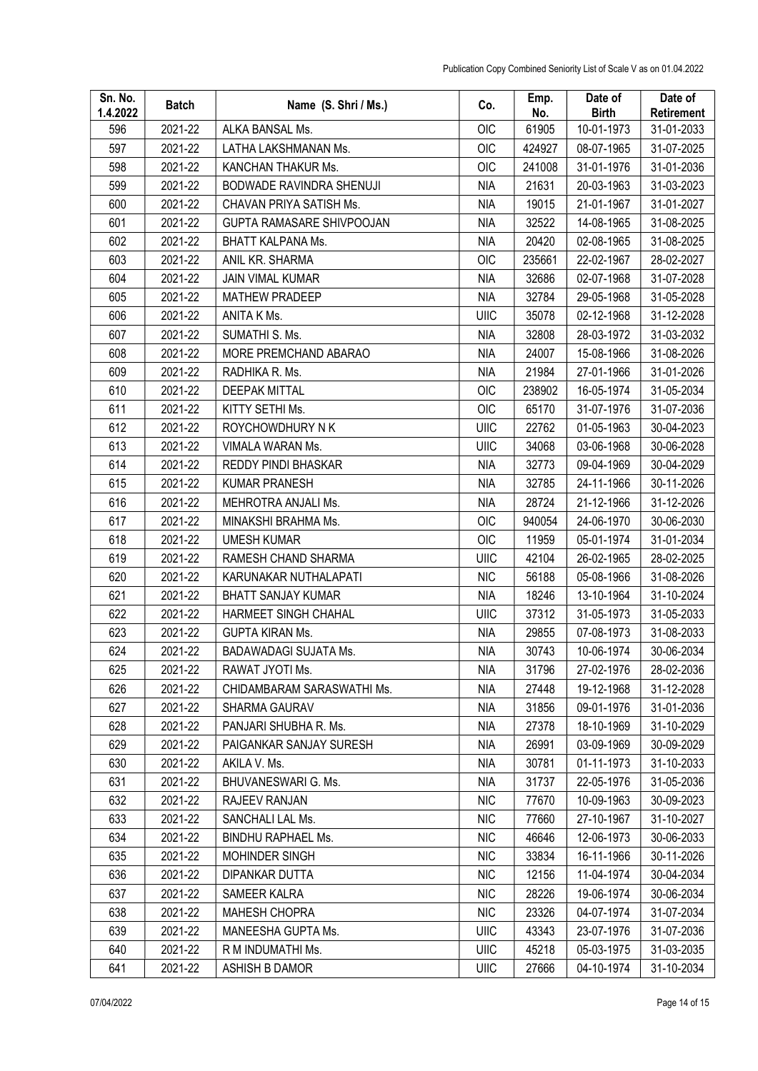| Sn. No.<br>1.4.2022 | <b>Batch</b> | Name (S. Shri / Ms.)             | Co.         | Emp.<br>No. | Date of<br><b>Birth</b> | Date of<br><b>Retirement</b> |
|---------------------|--------------|----------------------------------|-------------|-------------|-------------------------|------------------------------|
| 596                 | 2021-22      | ALKA BANSAL Ms.                  | <b>OIC</b>  | 61905       | 10-01-1973              | 31-01-2033                   |
| 597                 | 2021-22      | LATHA LAKSHMANAN Ms.             | <b>OIC</b>  | 424927      | 08-07-1965              | 31-07-2025                   |
| 598                 | 2021-22      | KANCHAN THAKUR Ms.               | <b>OIC</b>  | 241008      | 31-01-1976              | 31-01-2036                   |
| 599                 | 2021-22      | BODWADE RAVINDRA SHENUJI         | <b>NIA</b>  | 21631       | 20-03-1963              | 31-03-2023                   |
| 600                 | 2021-22      | CHAVAN PRIYA SATISH Ms.          | <b>NIA</b>  | 19015       | 21-01-1967              | 31-01-2027                   |
| 601                 | 2021-22      | <b>GUPTA RAMASARE SHIVPOOJAN</b> | <b>NIA</b>  | 32522       | 14-08-1965              | 31-08-2025                   |
| 602                 | 2021-22      | BHATT KALPANA Ms.                | <b>NIA</b>  | 20420       | 02-08-1965              | 31-08-2025                   |
| 603                 | 2021-22      | ANIL KR. SHARMA                  | OIC         | 235661      | 22-02-1967              | 28-02-2027                   |
| 604                 | 2021-22      | <b>JAIN VIMAL KUMAR</b>          | <b>NIA</b>  | 32686       | 02-07-1968              | 31-07-2028                   |
| 605                 | 2021-22      | <b>MATHEW PRADEEP</b>            | <b>NIA</b>  | 32784       | 29-05-1968              | 31-05-2028                   |
| 606                 | 2021-22      | ANITA K Ms.                      | UIIC        | 35078       | 02-12-1968              | 31-12-2028                   |
| 607                 | 2021-22      | SUMATHI S. Ms.                   | <b>NIA</b>  | 32808       | 28-03-1972              | 31-03-2032                   |
| 608                 | 2021-22      | MORE PREMCHAND ABARAO            | <b>NIA</b>  | 24007       | 15-08-1966              | 31-08-2026                   |
| 609                 | 2021-22      | RADHIKA R. Ms.                   | <b>NIA</b>  | 21984       | 27-01-1966              | 31-01-2026                   |
| 610                 | 2021-22      | <b>DEEPAK MITTAL</b>             | OIC         | 238902      | 16-05-1974              | 31-05-2034                   |
| 611                 | 2021-22      | KITTY SETHI Ms.                  | <b>OIC</b>  | 65170       | 31-07-1976              | 31-07-2036                   |
| 612                 | 2021-22      | ROYCHOWDHURY N K                 | UIIC        | 22762       | 01-05-1963              | 30-04-2023                   |
| 613                 | 2021-22      | VIMALA WARAN Ms.                 | <b>UIIC</b> | 34068       | 03-06-1968              | 30-06-2028                   |
| 614                 | 2021-22      | REDDY PINDI BHASKAR              | <b>NIA</b>  | 32773       | 09-04-1969              | 30-04-2029                   |
| 615                 | 2021-22      | <b>KUMAR PRANESH</b>             | <b>NIA</b>  | 32785       | 24-11-1966              | 30-11-2026                   |
| 616                 | 2021-22      | MEHROTRA ANJALI Ms.              | <b>NIA</b>  | 28724       | 21-12-1966              | 31-12-2026                   |
| 617                 | 2021-22      | MINAKSHI BRAHMA Ms.              | OIC         | 940054      | 24-06-1970              | 30-06-2030                   |
| 618                 | 2021-22      | <b>UMESH KUMAR</b>               | OIC         | 11959       | 05-01-1974              | 31-01-2034                   |
| 619                 | 2021-22      | RAMESH CHAND SHARMA              | UIIC        | 42104       | 26-02-1965              | 28-02-2025                   |
| 620                 | 2021-22      | KARUNAKAR NUTHALAPATI            | <b>NIC</b>  | 56188       | 05-08-1966              | 31-08-2026                   |
| 621                 | 2021-22      | <b>BHATT SANJAY KUMAR</b>        | <b>NIA</b>  | 18246       | 13-10-1964              | 31-10-2024                   |
| 622                 | 2021-22      | HARMEET SINGH CHAHAL             | <b>UIIC</b> | 37312       | 31-05-1973              | 31-05-2033                   |
| 623                 | 2021-22      | <b>GUPTA KIRAN Ms.</b>           | <b>NIA</b>  | 29855       | 07-08-1973              | 31-08-2033                   |
| 624                 | 2021-22      | BADAWADAGI SUJATA Ms.            | <b>NIA</b>  | 30743       | 10-06-1974              | 30-06-2034                   |
| 625                 | 2021-22      | RAWAT JYOTI Ms.                  | NIA         | 31796       | 27-02-1976              | 28-02-2036                   |
| 626                 | 2021-22      | CHIDAMBARAM SARASWATHI Ms.       | <b>NIA</b>  | 27448       | 19-12-1968              | 31-12-2028                   |
| 627                 | 2021-22      | SHARMA GAURAV                    | <b>NIA</b>  | 31856       | 09-01-1976              | 31-01-2036                   |
| 628                 | 2021-22      | PANJARI SHUBHA R. Ms.            | <b>NIA</b>  | 27378       | 18-10-1969              | 31-10-2029                   |
| 629                 | 2021-22      | PAIGANKAR SANJAY SURESH          | <b>NIA</b>  | 26991       | 03-09-1969              | 30-09-2029                   |
| 630                 | 2021-22      | AKILA V. Ms.                     | NIA         | 30781       | 01-11-1973              | 31-10-2033                   |
| 631                 | 2021-22      | BHUVANESWARI G. Ms.              | <b>NIA</b>  | 31737       | 22-05-1976              | 31-05-2036                   |
| 632                 | 2021-22      | RAJEEV RANJAN                    | <b>NIC</b>  | 77670       | 10-09-1963              | 30-09-2023                   |
| 633                 | 2021-22      | SANCHALI LAL Ms.                 | <b>NIC</b>  | 77660       | 27-10-1967              | 31-10-2027                   |
| 634                 | 2021-22      | BINDHU RAPHAEL Ms.               | <b>NIC</b>  | 46646       | 12-06-1973              | 30-06-2033                   |
| 635                 | 2021-22      | MOHINDER SINGH                   | <b>NIC</b>  | 33834       | 16-11-1966              | 30-11-2026                   |
| 636                 | 2021-22      | DIPANKAR DUTTA                   | <b>NIC</b>  | 12156       | 11-04-1974              | 30-04-2034                   |
| 637                 | 2021-22      | SAMEER KALRA                     | <b>NIC</b>  | 28226       | 19-06-1974              | 30-06-2034                   |
| 638                 | 2021-22      | <b>MAHESH CHOPRA</b>             | <b>NIC</b>  | 23326       | 04-07-1974              | 31-07-2034                   |
| 639                 | 2021-22      | MANEESHA GUPTA Ms.               | UIIC        | 43343       | 23-07-1976              | 31-07-2036                   |
| 640                 | 2021-22      | R M INDUMATHI Ms.                | UIIC        | 45218       | 05-03-1975              | 31-03-2035                   |
| 641                 | 2021-22      | ASHISH B DAMOR                   | UIIC        | 27666       | 04-10-1974              | 31-10-2034                   |